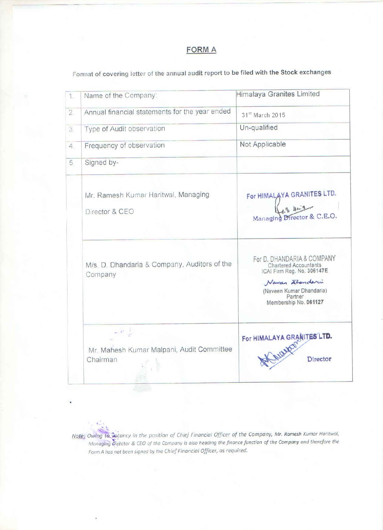# **FORMA**

Format of covering letter of the annual audit report to be filed with the Stock exchanges

| 1.             | Name of the Company:                                    | <b>Himalaya Granites Limited</b>                                                                                                                                           |
|----------------|---------------------------------------------------------|----------------------------------------------------------------------------------------------------------------------------------------------------------------------------|
| $\overline{2}$ | Annual financial statements for the year ended          | 31 <sup>st</sup> March 2015                                                                                                                                                |
| 3.             | Type of Audit observation                               | Un-qualified                                                                                                                                                               |
| 4.             | Frequency of observation                                | Not Applicable                                                                                                                                                             |
| 5.             | Signed by-                                              |                                                                                                                                                                            |
|                | Mr. Ramesh Kumar Haritwal, Managing<br>Director & CEO   | For HIMALAYA GRANITES LTD.<br>$9 - 4\omega$<br>Managing Director & C.E.O.                                                                                                  |
|                | M/s. D. Dhandaria & Company, Auditors of the<br>Company | For D. DHANDARIA & COMPANY<br><b>Chartered Accountants</b><br>ICAI Firm Reg. No. 306147E<br>Naver Standari<br>(Naveen Kumar Dhandaria)<br>Partner<br>Membership No. 061127 |
|                | Mr. Mahesh Kumar Malpani, Audit Committee<br>Chairman   | For HIMALAYA GRANITES LTD.                                                                                                                                                 |

Note: Owing to vacancy in the position of Chief Financial Officer of the Company, Mr. Ramesh Kumar Haritwal, Managing Director & CEO of the Company is also heading the finance function of the Company and therefore the Form A has not been signed by the Chief Financial Officer, as required.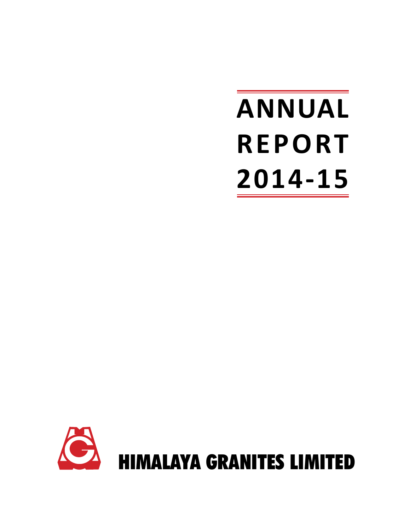# **ANNUAL REPORT 2014-15**

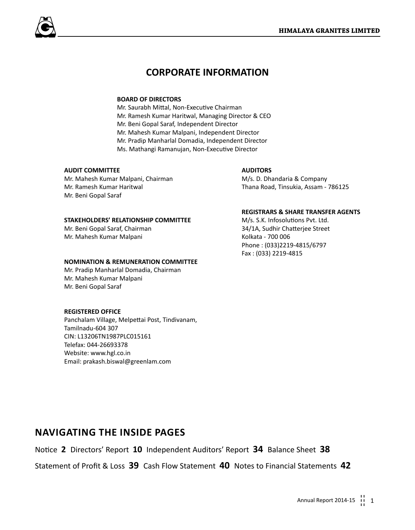# **CORPORATE INFORMATION**

## **BOARD OF DIRECTORS**

Mr. Saurabh Mittal, Non-Executive Chairman Mr. Ramesh Kumar Haritwal, Managing Director & CEO Mr. Beni Gopal Saraf, Independent Director Mr. Mahesh Kumar Malpani, Independent Director Mr. Pradip Manharlal Domadia, Independent Director Ms. Mathangi Ramanujan, Non-Executive Director

## **AUDIT COMMITTEE**

Mr. Mahesh Kumar Malpani, Chairman Mr. Ramesh Kumar Haritwal Mr. Beni Gopal Saraf

## **STAKEHOLDERS' RELATIONSHIP COMMITTEE**

Mr. Beni Gopal Saraf, Chairman Mr. Mahesh Kumar Malpani

## **NOMINATION & REMUNERATION COMMITTEE**

Mr. Pradip Manharlal Domadia, Chairman Mr. Mahesh Kumar Malpani Mr. Beni Gopal Saraf

## **REGISTERED OFFICE**

Panchalam Village, Melpettai Post, Tindivanam, Tamilnadu-604 307 CIN: L13206TN1987PLC015161 Telefax: 044-26693378 Website: www.hgl.co.in Email: prakash.biswal@greenlam.com

## **AUDITORS**

M/s. D. Dhandaria & Company Thana Road, Tinsukia, Assam - 786125

## **REGISTRARS & SHARE TRANSFER AGENTS**

M/s. S.K. Infosolutions Pvt. Ltd. 34/1A, Sudhir Chatterjee Street Kolkata - 700 006 Phone : (033)2219-4815/6797 Fax : (033) 2219-4815

## **Navigating the inside pages**

Notice **2** Directors' Report **10** Independent Auditors' Report **34** Balance Sheet **38**

Statement of Profit & Loss **39** Cash Flow Statement **40** Notes to Financial Statements **42**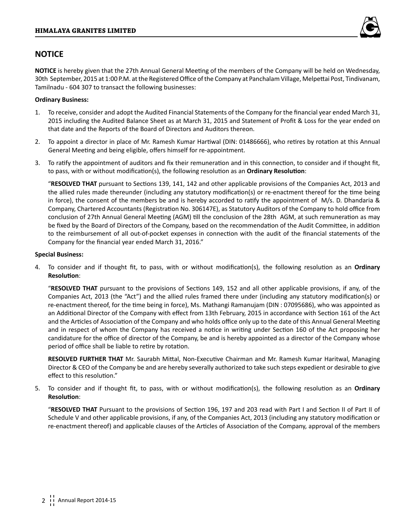

## **NOTICE**

**NOTICE** is hereby given that the 27th Annual General Meeting of the members of the Company will be held on Wednesday, 30th September, 2015 at 1:00 P.M. at the Registered Office of the Company at Panchalam Village, Melpettai Post, Tindivanam, Tamilnadu - 604 307 to transact the following businesses:

## **Ordinary Business:**

- 1. To receive, consider and adopt the Audited Financial Statements of the Company for the financial year ended March 31, 2015 including the Audited Balance Sheet as at March 31, 2015 and Statement of Profit & Loss for the year ended on that date and the Reports of the Board of Directors and Auditors thereon.
- 2. To appoint a director in place of Mr. Ramesh Kumar Hartiwal (DIN: 01486666), who retires by rotation at this Annual General Meeting and being eligible, offers himself for re-appointment.
- 3. To ratify the appointment of auditors and fix their remuneration and in this connection, to consider and if thought fit, to pass, with or without modification(s), the following resolution as an **Ordinary Resolution**:

"**RESOLVED THAT** pursuant to Sections 139, 141, 142 and other applicable provisions of the Companies Act, 2013 and the allied rules made thereunder (including any statutory modification(s) or re-enactment thereof for the time being in force), the consent of the members be and is hereby accorded to ratify the appointment of M/s. D. Dhandaria & Company, Chartered Accountants (Registration No. 306147E), as Statutory Auditors of the Company to hold office from conclusion of 27th Annual General Meeting (AGM) till the conclusion of the 28th AGM, at such remuneration as may be fixed by the Board of Directors of the Company, based on the recommendation of the Audit Committee, in addition to the reimbursement of all out-of-pocket expenses in connection with the audit of the financial statements of the Company for the financial year ended March 31, 2016."

## **Special Business:**

4. To consider and if thought fit, to pass, with or without modification(s), the following resolution as an **Ordinary Resolution**:

"**RESOLVED THAT** pursuant to the provisions of Sections 149, 152 and all other applicable provisions, if any, of the Companies Act, 2013 (the "Act") and the allied rules framed there under (including any statutory modification(s) or re-enactment thereof, for the time being in force), Ms. Mathangi Ramanujam (DIN : 07095686), who was appointed as an Additional Director of the Company with effect from 13th February, 2015 in accordance with Section 161 of the Act and the Articles of Association of the Company and who holds office only up to the date of this Annual General Meeting and in respect of whom the Company has received a notice in writing under Section 160 of the Act proposing her candidature for the office of director of the Company, be and is hereby appointed as a director of the Company whose period of office shall be liable to retire by rotation.

**RESOLVED FURTHER THAT** Mr. Saurabh Mittal, Non-Executive Chairman and Mr. Ramesh Kumar Haritwal, Managing Director & CEO of the Company be and are hereby severally authorized to take such steps expedient or desirable to give effect to this resolution."

5. To consider and if thought fit, to pass, with or without modification(s), the following resolution as an **Ordinary Resolution**:

"**RESOLVED THAT** Pursuant to the provisions of Section 196, 197 and 203 read with Part I and Section II of Part II of Schedule V and other applicable provisions, if any, of the Companies Act, 2013 (including any statutory modification or re-enactment thereof) and applicable clauses of the Articles of Association of the Company, approval of the members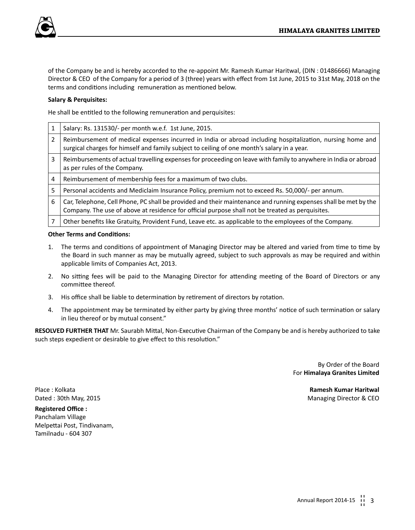

of the Company be and is hereby accorded to the re-appoint Mr. Ramesh Kumar Haritwal, (DIN : 01486666) Managing Director & CEO of the Company for a period of 3 (three) years with effect from 1st June, 2015 to 31st May, 2018 on the terms and conditions including remuneration as mentioned below.

## **Salary & Perquisites:**

He shall be entitled to the following remuneration and perquisites:

|   | Salary: Rs. 131530/- per month w.e.f. 1st June, 2015.                                                                                                                                                               |
|---|---------------------------------------------------------------------------------------------------------------------------------------------------------------------------------------------------------------------|
| 2 | Reimbursement of medical expenses incurred in India or abroad including hospitalization, nursing home and<br>surgical charges for himself and family subject to ceiling of one month's salary in a year.            |
| 3 | Reimbursements of actual travelling expenses for proceeding on leave with family to anywhere in India or abroad<br>as per rules of the Company.                                                                     |
| 4 | Reimbursement of membership fees for a maximum of two clubs.                                                                                                                                                        |
| 5 | Personal accidents and Mediclaim Insurance Policy, premium not to exceed Rs. 50,000/- per annum.                                                                                                                    |
| 6 | Car, Telephone, Cell Phone, PC shall be provided and their maintenance and running expenses shall be met by the<br>Company. The use of above at residence for official purpose shall not be treated as perquisites. |
|   | Other benefits like Gratuity, Provident Fund, Leave etc. as applicable to the employees of the Company.                                                                                                             |

## **Other Terms and Conditions:**

- 1. The terms and conditions of appointment of Managing Director may be altered and varied from time to time by the Board in such manner as may be mutually agreed, subject to such approvals as may be required and within applicable limits of Companies Act, 2013.
- 2. No sitting fees will be paid to the Managing Director for attending meeting of the Board of Directors or any committee thereof.
- 3. His office shall be liable to determination by retirement of directors by rotation.
- 4. The appointment may be terminated by either party by giving three months' notice of such termination or salary in lieu thereof or by mutual consent."

**RESOLVED FURTHER THAT** Mr. Saurabh Mittal, Non-Executive Chairman of the Company be and is hereby authorized to take such steps expedient or desirable to give effect to this resolution."

> By Order of the Board For **Himalaya Granites Limited**

Place : Kolkata **Ramesh Kumar Haritwal** Dated : 30th May, 2015 Managing Director & CEO

**Registered Office :** Panchalam Village Melpettai Post, Tindivanam, Tamilnadu - 604 307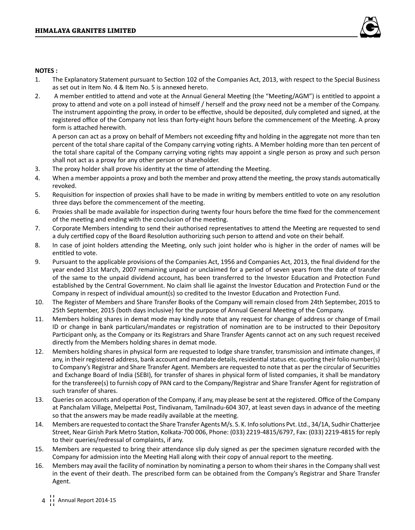

## **NOTES :**

- 1. The Explanatory Statement pursuant to Section 102 of the Companies Act, 2013, with respect to the Special Business as set out in Item No. 4 & Item No. 5 is annexed hereto.
- 2. A member entitled to attend and vote at the Annual General Meeting (the "Meeting/AGM") is entitled to appoint a proxy to attend and vote on a poll instead of himself / herself and the proxy need not be a member of the Company. The instrument appointing the proxy, in order to be effective, should be deposited, duly completed and signed, at the registered office of the Company not less than forty-eight hours before the commencement of the Meeting. A proxy form is attached herewith.

A person can act as a proxy on behalf of Members not exceeding fifty and holding in the aggregate not more than ten percent of the total share capital of the Company carrying voting rights. A Member holding more than ten percent of the total share capital of the Company carrying voting rights may appoint a single person as proxy and such person shall not act as a proxy for any other person or shareholder.

- 3. The proxy holder shall prove his identity at the time of attending the Meeting.
- 4. When a member appoints a proxy and both the member and proxy attend the meeting, the proxy stands automatically revoked.
- 5. Requisition for inspection of proxies shall have to be made in writing by members entitled to vote on any resolution three days before the commencement of the meeting.
- 6. Proxies shall be made available for inspection during twenty four hours before the time fixed for the commencement of the meeting and ending with the conclusion of the meeting.
- 7. Corporate Members intending to send their authorised representatives to attend the Meeting are requested to send a duly certified copy of the Board Resolution authorizing such person to attend and vote on their behalf.
- 8. In case of joint holders attending the Meeting, only such joint holder who is higher in the order of names will be entitled to vote.
- 9. Pursuant to the applicable provisions of the Companies Act, 1956 and Companies Act, 2013, the final dividend for the year ended 31st March, 2007 remaining unpaid or unclaimed for a period of seven years from the date of transfer of the same to the unpaid dividend account, has been transferred to the Investor Education and Protection Fund established by the Central Government. No claim shall lie against the Investor Education and Protection Fund or the Company in respect of individual amount(s) so credited to the Investor Education and Protection Fund.
- 10. The Register of Members and Share Transfer Books of the Company will remain closed from 24th September, 2015 to 25th September, 2015 (both days inclusive) for the purpose of Annual General Meeting of the Company.
- 11. Members holding shares in demat mode may kindly note that any request for change of address or change of Email ID or change in bank particulars/mandates or registration of nomination are to be instructed to their Depository Participant only, as the Company or its Registrars and Share Transfer Agents cannot act on any such request received directly from the Members holding shares in demat mode.
- 12. Members holding shares in physical form are requested to lodge share transfer, transmission and intimate changes, if any, in their registered address, bank account and mandate details, residential status etc. quoting their folio number(s) to Company's Registrar and Share Transfer Agent. Members are requested to note that as per the circular of Securities and Exchange Board of India (SEBI), for transfer of shares in physical form of listed companies, it shall be mandatory for the transferee(s) to furnish copy of PAN card to the Company/Registrar and Share Transfer Agent for registration of such transfer of shares.
- 13. Queries on accounts and operation of the Company, if any, may please be sent at the registered. Office of the Company at Panchalam Village, Melpettai Post, Tindivanam, Tamilnadu-604 307, at least seven days in advance of the meeting so that the answers may be made readily available at the meeting.
- 14. Members are requested to contact the Share Transfer Agents M/s. S. K. Info solutions Pvt. Ltd., 34/1A, Sudhir Chatterjee Street, Near Girish Park Metro Station, Kolkata-700 006, Phone: (033) 2219-4815/6797, Fax: (033) 2219-4815 for reply to their queries/redressal of complaints, if any.
- 15. Members are requested to bring their attendance slip duly signed as per the specimen signature recorded with the Company for admission into the Meeting Hall along with their copy of annual report to the meeting.
- 16. Members may avail the facility of nomination by nominating a person to whom their shares in the Company shall vest in the event of their death. The prescribed form can be obtained from the Company's Registrar and Share Transfer Agent.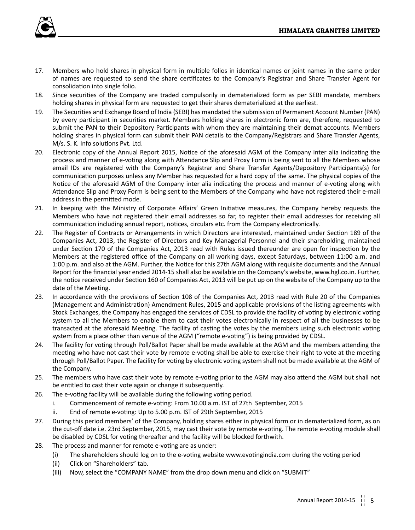

- 17. Members who hold shares in physical form in multiple folios in identical names or joint names in the same order of names are requested to send the share certificates to the Company's Registrar and Share Transfer Agent for consolidation into single folio.
- 18. Since securities of the Company are traded compulsorily in dematerialized form as per SEBI mandate, members holding shares in physical form are requested to get their shares dematerialized at the earliest.
- 19. The Securities and Exchange Board of India (SEBI) has mandated the submission of Permanent Account Number (PAN) by every participant in securities market. Members holding shares in electronic form are, therefore, requested to submit the PAN to their Depository Participants with whom they are maintaining their demat accounts. Members holding shares in physical form can submit their PAN details to the Company/Registrars and Share Transfer Agents, M/s. S. K. Info solutions Pvt. Ltd.
- 20. Electronic copy of the Annual Report 2015, Notice of the aforesaid AGM of the Company inter alia indicating the process and manner of e-voting along with Attendance Slip and Proxy Form is being sent to all the Members whose email IDs are registered with the Company's Registrar and Share Transfer Agents/Depository Participants(s) for communication purposes unless any Member has requested for a hard copy of the same. The physical copies of the Notice of the aforesaid AGM of the Company inter alia indicating the process and manner of e-voting along with Attendance Slip and Proxy Form is being sent to the Members of the Company who have not registered their e-mail address in the permitted mode.
- 21. In keeping with the Ministry of Corporate Affairs' Green Initiative measures, the Company hereby requests the Members who have not registered their email addresses so far, to register their email addresses for receiving all communication including annual report, notices, circulars etc. from the Company electronically.
- 22. The Register of Contracts or Arrangements in which Directors are interested, maintained under Section 189 of the Companies Act, 2013, the Register of Directors and Key Managerial Personnel and their shareholding, maintained under Section 170 of the Companies Act, 2013 read with Rules issued thereunder are open for inspection by the Members at the registered office of the Company on all working days, except Saturdays, between 11:00 a.m. and 1:00 p.m. and also at the AGM. Further, the Notice for this 27th AGM along with requisite documents and the Annual Report for the financial year ended 2014-15 shall also be available on the Company's website, www.hgl.co.in. Further, the notice received under Section 160 of Companies Act, 2013 will be put up on the website of the Company up to the date of the Meeting.
- 23. In accordance with the provisions of Section 108 of the Companies Act, 2013 read with Rule 20 of the Companies (Management and Administration) Amendment Rules, 2015 and applicable provisions of the listing agreements with Stock Exchanges, the Company has engaged the services of CDSL to provide the facility of voting by electronic voting system to all the Members to enable them to cast their votes electronically in respect of all the businesses to be transacted at the aforesaid Meeting. The facility of casting the votes by the members using such electronic voting system from a place other than venue of the AGM ("remote e-voting") is being provided by CDSL.
- 24. The facility for voting through Poll/Ballot Paper shall be made available at the AGM and the members attending the meeting who have not cast their vote by remote e-voting shall be able to exercise their right to vote at the meeting through Poll/Ballot Paper. The facility for voting by electronic voting system shall not be made available at the AGM of the Company.
- 25. The members who have cast their vote by remote e-voting prior to the AGM may also attend the AGM but shall not be entitled to cast their vote again or change it subsequently.
- 26. The e-voting facility will be available during the following voting period.
	- i. Commencement of remote e-voting: From 10.00 a.m. IST of 27th September, 2015
	- ii. End of remote e-voting: Up to 5.00 p.m. IST of 29th September, 2015
- 27. During this period members' of the Company, holding shares either in physical form or in dematerialized form, as on the cut-off date i.e. 23rd September, 2015, may cast their vote by remote e-voting. The remote e-voting module shall be disabled by CDSL for voting thereafter and the facility will be blocked forthwith.
- 28. The process and manner for remote e-voting are as under:
	- (i) The shareholders should log on to the e-voting website www.evotingindia.com during the voting period
	- (ii) Click on "Shareholders" tab.
	- (iii) Now, select the "COMPANY NAME" from the drop down menu and click on "SUBMIT"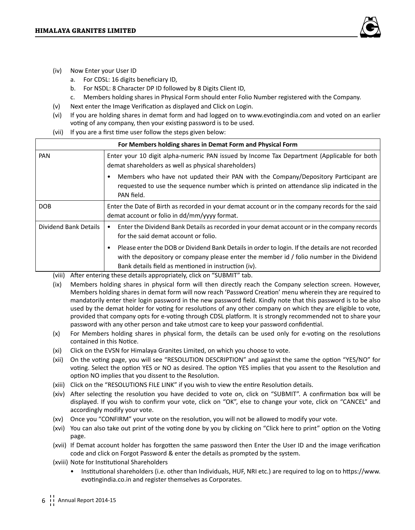

- (iv) Now Enter your User ID
	- a. For CDSL: 16 digits beneficiary ID,
	- b. For NSDL: 8 Character DP ID followed by 8 Digits Client ID,
	- c. Members holding shares in Physical Form should enter Folio Number registered with the Company.
- (v) Next enter the Image Verification as displayed and Click on Login.
- (vi) If you are holding shares in demat form and had logged on to www.evotingindia.com and voted on an earlier voting of any company, then your existing password is to be used.
- (vii) If you are a first time user follow the steps given below:

| For Members holding shares in Demat Form and Physical Form |                                                                                                                                                                                                                                                      |  |  |  |
|------------------------------------------------------------|------------------------------------------------------------------------------------------------------------------------------------------------------------------------------------------------------------------------------------------------------|--|--|--|
| PAN                                                        | Enter your 10 digit alpha-numeric PAN issued by Income Tax Department (Applicable for both<br>demat shareholders as well as physical shareholders)                                                                                                   |  |  |  |
|                                                            | Members who have not updated their PAN with the Company/Depository Participant are<br>requested to use the sequence number which is printed on attendance slip indicated in the<br>PAN field.                                                        |  |  |  |
| DOB                                                        | Enter the Date of Birth as recorded in your demat account or in the company records for the said<br>demat account or folio in dd/mm/yyyy format.                                                                                                     |  |  |  |
| Dividend Bank Details                                      | Enter the Dividend Bank Details as recorded in your demat account or in the company records<br>for the said demat account or folio.                                                                                                                  |  |  |  |
|                                                            | Please enter the DOB or Dividend Bank Details in order to login. If the details are not recorded<br>with the depository or company please enter the member id / folio number in the Dividend<br>Bank details field as mentioned in instruction (iv). |  |  |  |

(viii) After entering these details appropriately, click on "SUBMIT" tab.

- (ix) Members holding shares in physical form will then directly reach the Company selection screen. However, Members holding shares in demat form will now reach 'Password Creation' menu wherein they are required to mandatorily enter their login password in the new password field. Kindly note that this password is to be also used by the demat holder for voting for resolutions of any other company on which they are eligible to vote, provided that company opts for e-voting through CDSL platform. It is strongly recommended not to share your password with any other person and take utmost care to keep your password confidential.
- (x) For Members holding shares in physical form, the details can be used only for e-voting on the resolutions contained in this Notice.
- (xi) Click on the EVSN for Himalaya Granites Limited, on which you choose to vote.
- (xii) On the voting page, you will see "RESOLUTION DESCRIPTION" and against the same the option "YES/NO" for voting. Select the option YES or NO as desired. The option YES implies that you assent to the Resolution and option NO implies that you dissent to the Resolution.
- (xiii) Click on the "RESOLUTIONS FILE LINK" if you wish to view the entire Resolution details.
- (xiv) After selecting the resolution you have decided to vote on, click on "SUBMIT". A confirmation box will be displayed. If you wish to confirm your vote, click on "OK", else to change your vote, click on "CANCEL" and accordingly modify your vote.
- (xv) Once you "CONFIRM" your vote on the resolution, you will not be allowed to modify your vote.
- (xvi) You can also take out print of the voting done by you by clicking on "Click here to print" option on the Voting page.
- (xvii) If Demat account holder has forgotten the same password then Enter the User ID and the image verification code and click on Forgot Password & enter the details as prompted by the system.
- (xviii) Note for Institutional Shareholders
	- Institutional shareholders (i.e. other than Individuals, HUF, NRI etc.) are required to log on to https://www. evotingindia.co.in and register themselves as Corporates.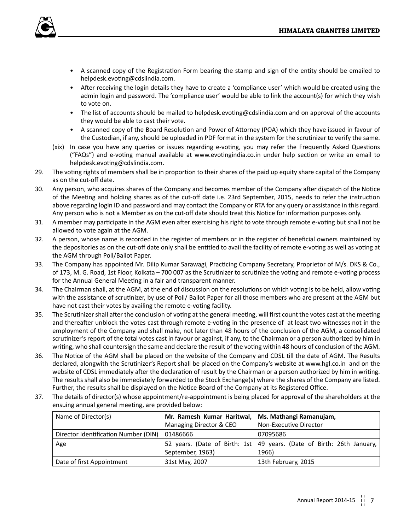

- A scanned copy of the Registration Form bearing the stamp and sign of the entity should be emailed to helpdesk.evoting@cdslindia.com.
- After receiving the login details they have to create a 'compliance user' which would be created using the admin login and password. The 'compliance user' would be able to link the account(s) for which they wish to vote on.
- The list of accounts should be mailed to helpdesk.evoting@cdslindia.com and on approval of the accounts they would be able to cast their vote.
- A scanned copy of the Board Resolution and Power of Attorney (POA) which they have issued in favour of the Custodian, if any, should be uploaded in PDF format in the system for the scrutinizer to verify the same.
- (xix) In case you have any queries or issues regarding e-voting, you may refer the Frequently Asked Questions ("FAQs") and e-voting manual available at www.evotingindia.co.in under help section or write an email to helpdesk.evoting@cdslindia.com.
- 29. The voting rights of members shall be in proportion to their shares of the paid up equity share capital of the Company as on the cut-off date.
- 30. Any person, who acquires shares of the Company and becomes member of the Company after dispatch of the Notice of the Meeting and holding shares as of the cut-off date i.e. 23rd September, 2015, needs to refer the instruction above regarding login ID and password and may contact the Company or RTA for any query or assistance in this regard. Any person who is not a Member as on the cut-off date should treat this Notice for information purposes only.
- 31. A member may participate in the AGM even after exercising his right to vote through remote e-voting but shall not be allowed to vote again at the AGM.
- 32. A person, whose name is recorded in the register of members or in the register of beneficial owners maintained by the depositories as on the cut-off date only shall be entitled to avail the facility of remote e-voting as well as voting at the AGM through Poll/Ballot Paper.
- 33. The Company has appointed Mr. Dilip Kumar Sarawagi, Practicing Company Secretary, Proprietor of M/s. DKS & Co., of 173, M. G. Road, 1st Floor, Kolkata – 700 007 as the Scrutinizer to scrutinize the voting and remote e-voting process for the Annual General Meeting in a fair and transparent manner.
- 34. The Chairman shall, at the AGM, at the end of discussion on the resolutions on which voting is to be held, allow voting with the assistance of scrutinizer, by use of Poll/ Ballot Paper for all those members who are present at the AGM but have not cast their votes by availing the remote e-voting facility.
- 35. The Scrutinizer shall after the conclusion of voting at the general meeting, will first count the votes cast at the meeting and thereafter unblock the votes cast through remote e-voting in the presence of at least two witnesses not in the employment of the Company and shall make, not later than 48 hours of the conclusion of the AGM, a consolidated scrutinizer's report of the total votes cast in favour or against, if any, to the Chairman or a person authorized by him in writing, who shall countersign the same and declare the result of the voting within 48 hours of conclusion of the AGM.
- 36. The Notice of the AGM shall be placed on the website of the Company and CDSL till the date of AGM. The Results declared, alongwith the Scrutinizer's Report shall be placed on the Company's website at www.hgl.co.in and on the website of CDSL immediately after the declaration of result by the Chairman or a person authorized by him in writing. The results shall also be immediately forwarded to the Stock Exchange(s) where the shares of the Company are listed. Further, the results shall be displayed on the Notice Board of the Company at its Registered Office.
- 37. The details of director(s) whose appointment/re-appointment is being placed for approval of the shareholders at the ensuing annual general meeting, are provided below:

| Name of Director(s)                  | Mr. Ramesh Kumar Haritwal,                        | Ms. Mathangi Ramanujam,                                                 |
|--------------------------------------|---------------------------------------------------|-------------------------------------------------------------------------|
|                                      | Non-Executive Director<br>Managing Director & CEO |                                                                         |
| Director Identification Number (DIN) | 01486666                                          | 07095686                                                                |
| Age                                  |                                                   | 52 years. (Date of Birth: 1st   49 years. (Date of Birth: 26th January, |
|                                      | September, 1963)                                  | 1966)                                                                   |
| Date of first Appointment            | 31st May, 2007                                    | 13th February, 2015                                                     |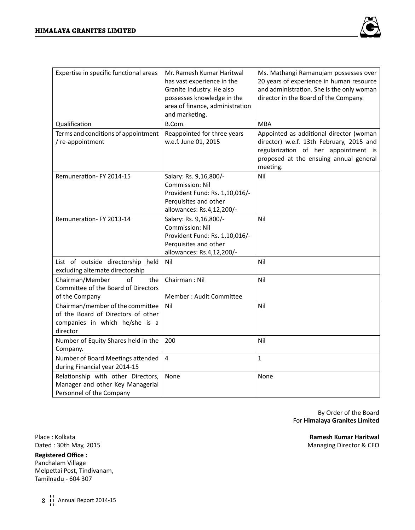

| Expertise in specific functional areas                                                                               | Mr. Ramesh Kumar Haritwal<br>has vast experience in the<br>Granite Industry. He also<br>possesses knowledge in the<br>area of finance, administration<br>and marketing. | Ms. Mathangi Ramanujam possesses over<br>20 years of experience in human resource<br>and administration. She is the only woman<br>director in the Board of the Company.           |
|----------------------------------------------------------------------------------------------------------------------|-------------------------------------------------------------------------------------------------------------------------------------------------------------------------|-----------------------------------------------------------------------------------------------------------------------------------------------------------------------------------|
| Qualification                                                                                                        | B.Com.                                                                                                                                                                  | MBA                                                                                                                                                                               |
| Terms and conditions of appointment<br>/ re-appointment                                                              | Reappointed for three years<br>w.e.f. June 01, 2015                                                                                                                     | Appointed as additional director (woman<br>director) w.e.f. 13th February, 2015 and<br>regularization of her appointment is<br>proposed at the ensuing annual general<br>meeting. |
| Remuneration-FY 2014-15                                                                                              | Salary: Rs. 9,16,800/-<br><b>Commission: Nil</b><br>Provident Fund: Rs. 1,10,016/-<br>Perquisites and other<br>allowances: Rs.4,12,200/-                                | Nil                                                                                                                                                                               |
| Remuneration-FY 2013-14                                                                                              | Salary: Rs. 9,16,800/-<br>Commission: Nil<br>Provident Fund: Rs. 1,10,016/-<br>Perquisites and other<br>allowances: Rs.4,12,200/-                                       | Nil                                                                                                                                                                               |
| List of outside directorship held<br>excluding alternate directorship                                                | Nil                                                                                                                                                                     | Nil                                                                                                                                                                               |
| Chairman/Member<br>of<br>the<br>Committee of the Board of Directors<br>of the Company                                | Chairman: Nil<br>Member: Audit Committee                                                                                                                                | Nil                                                                                                                                                                               |
| Chairman/member of the committee<br>of the Board of Directors of other<br>companies in which he/she is a<br>director | Nil                                                                                                                                                                     | Nil                                                                                                                                                                               |
| Number of Equity Shares held in the<br>Company.                                                                      | 200                                                                                                                                                                     | Nil                                                                                                                                                                               |
| Number of Board Meetings attended<br>during Financial year 2014-15                                                   | 4                                                                                                                                                                       | $\mathbf{1}$                                                                                                                                                                      |
| Relationship with other Directors,<br>Manager and other Key Managerial<br>Personnel of the Company                   | None                                                                                                                                                                    | None                                                                                                                                                                              |

By Order of the Board For **Himalaya Granites Limited**

**Registered Office :** Panchalam Village Melpettai Post, Tindivanam, Tamilnadu - 604 307

8 ii Annual Report 2014-15

Place : Kolkata **Ramesh Kumar Haritwal** Dated : 30th May, 2015 Managing Director & CEO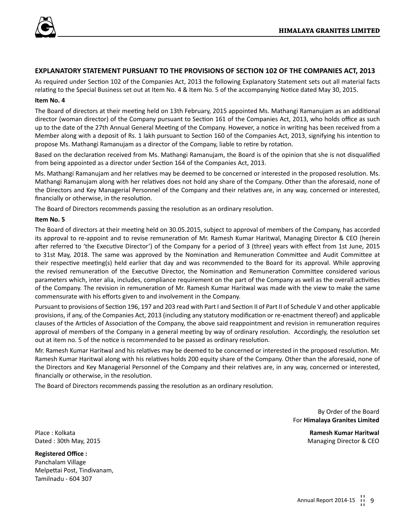

## **EXPLANATORY STATEMENT PURSUANT TO THE PROVISIONS OF SECTION 102 OF THE COMPANIES ACT, 2013**

As required under Section 102 of the Companies Act, 2013 the following Explanatory Statement sets out all material facts relating to the Special Business set out at Item No. 4 & Item No. 5 of the accompanying Notice dated May 30, 2015.

## **Item No. 4**

The Board of directors at their meeting held on 13th February, 2015 appointed Ms. Mathangi Ramanujam as an additional director (woman director) of the Company pursuant to Section 161 of the Companies Act, 2013, who holds office as such up to the date of the 27th Annual General Meeting of the Company. However, a notice in writing has been received from a Member along with a deposit of Rs. 1 lakh pursuant to Section 160 of the Companies Act, 2013, signifying his intention to propose Ms. Mathangi Ramanujam as a director of the Company, liable to retire by rotation.

Based on the declaration received from Ms. Mathangi Ramanujam, the Board is of the opinion that she is not disqualified from being appointed as a director under Section 164 of the Companies Act, 2013.

Ms. Mathangi Ramanujam and her relatives may be deemed to be concerned or interested in the proposed resolution. Ms. Mathangi Ramanujam along with her relatives does not hold any share of the Company. Other than the aforesaid, none of the Directors and Key Managerial Personnel of the Company and their relatives are, in any way, concerned or interested, financially or otherwise, in the resolution.

The Board of Directors recommends passing the resolution as an ordinary resolution.

## **Item No. 5**

The Board of directors at their meeting held on 30.05.2015, subject to approval of members of the Company, has accorded its approval to re-appoint and to revise remuneration of Mr. Ramesh Kumar Haritwal, Managing Director & CEO (herein after referred to 'the Executive Director') of the Company for a period of 3 (three) years with effect from 1st June, 2015 to 31st May, 2018. The same was approved by the Nomination and Remuneration Committee and Audit Committee at their respective meeting(s) held earlier that day and was recommended to the Board for its approval. While approving the revised remuneration of the Executive Director, the Nomination and Remuneration Committee considered various parameters which, inter alia, includes, compliance requirement on the part of the Company as well as the overall activities of the Company. The revision in remuneration of Mr. Ramesh Kumar Haritwal was made with the view to make the same commensurate with his efforts given to and involvement in the Company.

Pursuant to provisions of Section 196, 197 and 203 read with Part I and Section II of Part II of Schedule V and other applicable provisions, if any, of the Companies Act, 2013 (including any statutory modification or re-enactment thereof) and applicable clauses of the Articles of Association of the Company, the above said reappointment and revision in remuneration requires approval of members of the Company in a general meeting by way of ordinary resolution. Accordingly, the resolution set out at item no. 5 of the notice is recommended to be passed as ordinary resolution.

Mr. Ramesh Kumar Haritwal and his relatives may be deemed to be concerned or interested in the proposed resolution. Mr. Ramesh Kumar Haritwal along with his relatives holds 200 equity share of the Company. Other than the aforesaid, none of the Directors and Key Managerial Personnel of the Company and their relatives are, in any way, concerned or interested, financially or otherwise, in the resolution.

The Board of Directors recommends passing the resolution as an ordinary resolution.

By Order of the Board For **Himalaya Granites Limited**

Place : Kolkata **Ramesh Kumar Haritwal**

**Registered Office :** Panchalam Village Melpettai Post, Tindivanam, Tamilnadu - 604 307

Dated : 30th May, 2015 **Managing Director & CEO**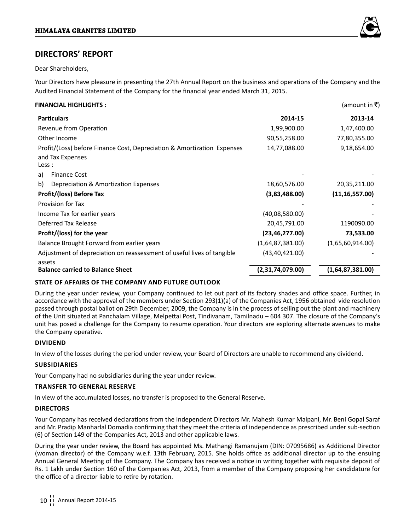

## **DIRECTORS' REPORT**

Dear Shareholders,

Your Directors have pleasure in presenting the 27th Annual Report on the business and operations of the Company and the Audited Financial Statement of the Company for the financial year ended March 31, 2015.

## **FINANCIAL HIGHLIGHTS :** (amount in ₹)

| <b>Particulars</b><br>2014-15                                                              | 2013-14          |  |  |  |  |
|--------------------------------------------------------------------------------------------|------------------|--|--|--|--|
| Revenue from Operation<br>1,99,900.00                                                      | 1,47,400.00      |  |  |  |  |
| 90,55,258.00<br>Other Income                                                               | 77,80,355.00     |  |  |  |  |
| Profit/(Loss) before Finance Cost, Depreciation & Amortization Expenses<br>14,77,088.00    | 9,18,654.00      |  |  |  |  |
| and Tax Expenses                                                                           |                  |  |  |  |  |
| Less :                                                                                     |                  |  |  |  |  |
| <b>Finance Cost</b><br>a)                                                                  |                  |  |  |  |  |
| b)<br>Depreciation & Amortization Expenses<br>18,60,576.00                                 | 20,35,211.00     |  |  |  |  |
| Profit/(loss) Before Tax<br>(3,83,488.00)<br>(11, 16, 557.00)                              |                  |  |  |  |  |
| Provision for Tax                                                                          |                  |  |  |  |  |
| Income Tax for earlier years<br>(40,08,580.00)                                             |                  |  |  |  |  |
| Deferred Tax Release<br>20,45,791.00                                                       | 1190090.00       |  |  |  |  |
| Profit/(loss) for the year<br>(23, 46, 277.00)                                             | 73,533.00        |  |  |  |  |
| (1,65,60,914.00)<br>Balance Brought Forward from earlier years<br>(1,64,87,381.00)         |                  |  |  |  |  |
| Adjustment of depreciation on reassessment of useful lives of tangible<br>(43, 40, 421.00) |                  |  |  |  |  |
| assets                                                                                     |                  |  |  |  |  |
| <b>Balance carried to Balance Sheet</b><br>(2,31,74,079.00)                                | (1,64,87,381.00) |  |  |  |  |

## **State of affairs of the Company and future outlook**

During the year under review, your Company continued to let out part of its factory shades and office space. Further, in accordance with the approval of the members under Section 293(1)(a) of the Companies Act, 1956 obtained vide resolution passed through postal ballot on 29th December, 2009, the Company is in the process of selling out the plant and machinery of the Unit situated at Panchalam Village, Melpettai Post, Tindivanam, Tamilnadu – 604 307. The closure of the Company's unit has posed a challenge for the Company to resume operation. Your directors are exploring alternate avenues to make the Company operative.

## **Dividend**

In view of the losses during the period under review, your Board of Directors are unable to recommend any dividend.

## **Subsidiaries**

Your Company had no subsidiaries during the year under review.

## **Transfer to General Reserve**

In view of the accumulated losses, no transfer is proposed to the General Reserve.

## **Directors**

Your Company has received declarations from the Independent Directors Mr. Mahesh Kumar Malpani, Mr. Beni Gopal Saraf and Mr. Pradip Manharlal Domadia confirming that they meet the criteria of independence as prescribed under sub-section (6) of Section 149 of the Companies Act, 2013 and other applicable laws.

During the year under review, the Board has appointed Ms. Mathangi Ramanujam (DIN: 07095686) as Additional Director (woman director) of the Company w.e.f. 13th February, 2015. She holds office as additional director up to the ensuing Annual General Meeting of the Company. The Company has received a notice in writing together with requisite deposit of Rs. 1 Lakh under Section 160 of the Companies Act, 2013, from a member of the Company proposing her candidature for the office of a director liable to retire by rotation.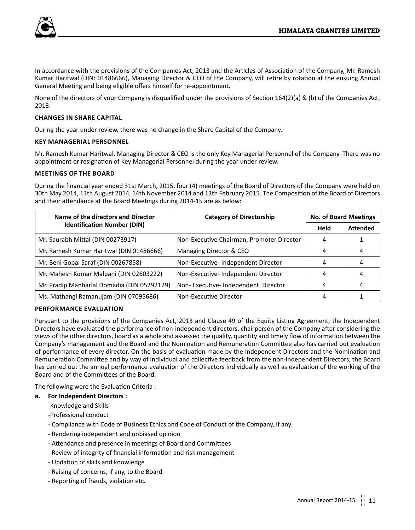

In accordance with the provisions of the Companies Act, 2013 and the Articles of Association of the Company, Mr. Ramesh Kumar Haritwal (DIN: 01486666), Managing Director & CEO of the Company, will retire by rotation at the ensuing Annual General Meeting and being eligible offers himself for re-appointment.

None of the directors of your Company is disqualified under the provisions of Section 164(2)(a) & (b) of the Companies Act, 2013.

## **Changes in Share Capital**

During the year under review, there was no change in the Share Capital of the Company.

## **Key Managerial Personnel**

Mr. Ramesh Kumar Haritwal, Managing Director & CEO is the only Key Managerial Personnel of the Company. There was no appointment or resignation of Key Managerial Personnel during the year under review.

## **Meetings of the Board**

During the financial year ended 31st March, 2015, four (4) meetings of the Board of Directors of the Company were held on 30th May 2014, 13th August 2014, 14th November 2014 and 13th February 2015. The Composition of the Board of Directors and their attendance at the Board Meetings during 2014-15 are as below:

| Name of the directors and Director          | <b>Category of Directorship</b>           | <b>No. of Board Meetings</b> |                 |
|---------------------------------------------|-------------------------------------------|------------------------------|-----------------|
| <b>Identification Number (DIN)</b>          |                                           | Held                         | <b>Attended</b> |
| Mr. Saurabh Mittal (DIN 00273917)           | Non-Executive Chairman, Promoter Director | 4                            |                 |
| Mr. Ramesh Kumar Haritwal (DIN 01486666)    | Managing Director & CEO                   | 4                            |                 |
| Mr. Beni Gopal Saraf (DIN 00267858)         | Non-Executive-Independent Director        | 4                            | 4               |
| Mr. Mahesh Kumar Malpani (DIN 02603222)     | Non-Executive-Independent Director        | 4                            | 4               |
| Mr. Pradip Manharlal Domadia (DIN 05292129) | Non-Executive-Independent Director        | 4                            | 4               |
| Ms. Mathangi Ramanujam (DIN 07095686)       | Non-Executive Director                    | 4                            |                 |

## **Performance Evaluation**

Pursuant to the provisions of the Companies Act, 2013 and Clause 49 of the Equity Listing Agreement, the Independent Directors have evaluated the performance of non-independent directors, chairperson of the Company after considering the views of the other directors, board as a whole and assessed the quality, quantity and timely flow of information between the Company's management and the Board and the Nomination and Remuneration Committee also has carried out evaluation of performance of every director. On the basis of evaluation made by the Independent Directors and the Nomination and Remuneration Committee and by way of individual and collective feedback from the non-independent Directors, the Board has carried out the annual performance evaluation of the Directors individually as well as evaluation of the working of the Board and of the Committees of the Board.

The following were the Evaluation Criteria :

## **a. For Independent Directors :**

-Knowledge and Skills

-Professional conduct

- Compliance with Code of Business Ethics and Code of Conduct of the Company, if any.
- Rendering independent and unbiased opinion
- Attendance and presence in meetings of Board and Committees
- Review of integrity of financial information and risk management
- Updation of skills and knowledge
- Raising of concerns, if any, to the Board
- Reporting of frauds, violation etc.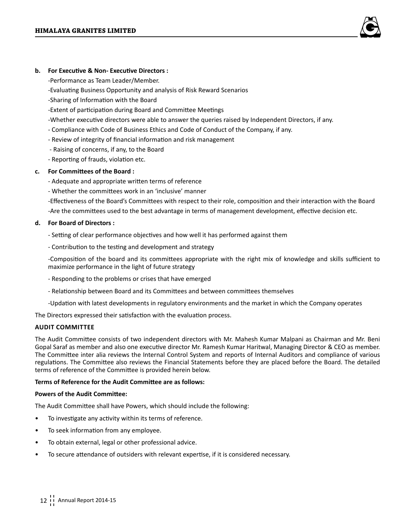

## **b. For Executive & Non- Executive Directors :**

-Performance as Team Leader/Member.

- -Evaluating Business Opportunity and analysis of Risk Reward Scenarios
- -Sharing of Information with the Board
- -Extent of participation during Board and Committee Meetings
- -Whether executive directors were able to answer the queries raised by Independent Directors, if any.
- Compliance with Code of Business Ethics and Code of Conduct of the Company, if any.
- Review of integrity of financial information and risk management
- Raising of concerns, if any, to the Board
- Reporting of frauds, violation etc.

## **c. For Committees of the Board :**

- Adequate and appropriate written terms of reference
- Whether the committees work in an 'inclusive' manner

-Effectiveness of the Board's Committees with respect to their role, composition and their interaction with the Board -Are the committees used to the best advantage in terms of management development, effective decision etc.

## **d. For Board of Directors :**

- Setting of clear performance objectives and how well it has performed against them
- Contribution to the testing and development and strategy

-Composition of the board and its committees appropriate with the right mix of knowledge and skills sufficient to maximize performance in the light of future strategy

- Responding to the problems or crises that have emerged
- Relationship between Board and its Committees and between committees themselves
- -Updation with latest developments in regulatory environments and the market in which the Company operates

The Directors expressed their satisfaction with the evaluation process.

## **Audit Committee**

The Audit Committee consists of two independent directors with Mr. Mahesh Kumar Malpani as Chairman and Mr. Beni Gopal Saraf as member and also one executive director Mr. Ramesh Kumar Haritwal, Managing Director & CEO as member. The Committee inter alia reviews the Internal Control System and reports of Internal Auditors and compliance of various regulations. The Committee also reviews the Financial Statements before they are placed before the Board. The detailed terms of reference of the Committee is provided herein below.

## **Terms of Reference for the Audit Committee are as follows:**

## **Powers of the Audit Committee:**

The Audit Committee shall have Powers, which should include the following:

- To investigate any activity within its terms of reference.
- To seek information from any employee.
- To obtain external, legal or other professional advice.
- To secure attendance of outsiders with relevant expertise, if it is considered necessary.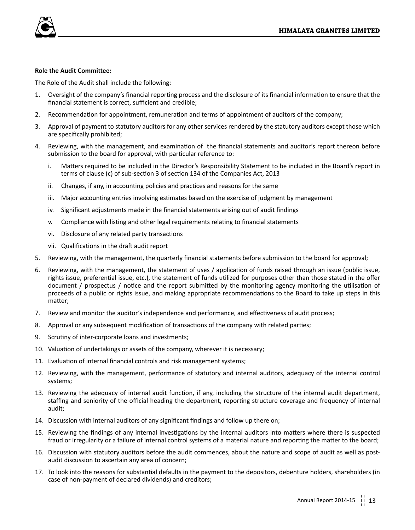

## **Role the Audit Committee:**

The Role of the Audit shall include the following:

- 1. Oversight of the company's financial reporting process and the disclosure of its financial information to ensure that the financial statement is correct, sufficient and credible;
- 2. Recommendation for appointment, remuneration and terms of appointment of auditors of the company;
- 3. Approval of payment to statutory auditors for any other services rendered by the statutory auditors except those which are specifically prohibited;
- 4. Reviewing, with the management, and examination of the financial statements and auditor's report thereon before submission to the board for approval, with particular reference to:
	- i. Matters required to be included in the Director's Responsibility Statement to be included in the Board's report in terms of clause (c) of sub-section 3 of section 134 of the Companies Act, 2013
	- ii. Changes, if any, in accounting policies and practices and reasons for the same
	- iii. Major accounting entries involving estimates based on the exercise of judgment by management
	- iv. Significant adjustments made in the financial statements arising out of audit findings
	- v. Compliance with listing and other legal requirements relating to financial statements
	- vi. Disclosure of any related party transactions
	- vii. Qualifications in the draft audit report
- 5. Reviewing, with the management, the quarterly financial statements before submission to the board for approval;
- 6. Reviewing, with the management, the statement of uses / application of funds raised through an issue (public issue, rights issue, preferential issue, etc.), the statement of funds utilized for purposes other than those stated in the offer document / prospectus / notice and the report submitted by the monitoring agency monitoring the utilisation of proceeds of a public or rights issue, and making appropriate recommendations to the Board to take up steps in this matter;
- 7. Review and monitor the auditor's independence and performance, and effectiveness of audit process;
- 8. Approval or any subsequent modification of transactions of the company with related parties;
- 9. Scrutiny of inter-corporate loans and investments;
- 10. Valuation of undertakings or assets of the company, wherever it is necessary;
- 11. Evaluation of internal financial controls and risk management systems;
- 12. Reviewing, with the management, performance of statutory and internal auditors, adequacy of the internal control systems;
- 13. Reviewing the adequacy of internal audit function, if any, including the structure of the internal audit department, staffing and seniority of the official heading the department, reporting structure coverage and frequency of internal audit;
- 14. Discussion with internal auditors of any significant findings and follow up there on;
- 15. Reviewing the findings of any internal investigations by the internal auditors into matters where there is suspected fraud or irregularity or a failure of internal control systems of a material nature and reporting the matter to the board;
- 16. Discussion with statutory auditors before the audit commences, about the nature and scope of audit as well as postaudit discussion to ascertain any area of concern;
- 17. To look into the reasons for substantial defaults in the payment to the depositors, debenture holders, shareholders (in case of non-payment of declared dividends) and creditors;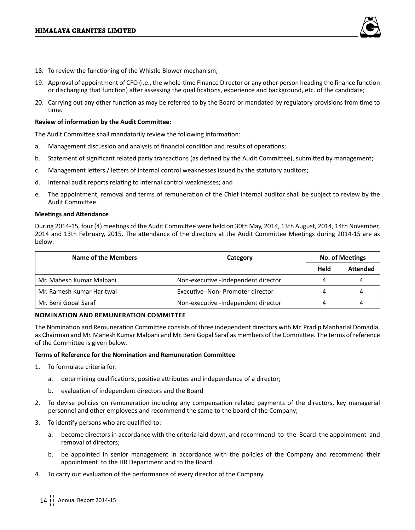

- 18. To review the functioning of the Whistle Blower mechanism;
- 19. Approval of appointment of CFO (i.e., the whole-time Finance Director or any other person heading the finance function or discharging that function) after assessing the qualifications, experience and background, etc. of the candidate;
- 20. Carrying out any other function as may be referred to by the Board or mandated by regulatory provisions from time to time.

## **Review of information by the Audit Committee:**

The Audit Committee shall mandatorily review the following information:

- a. Management discussion and analysis of financial condition and results of operations;
- b. Statement of significant related party transactions (as defined by the Audit Committee), submitted by management;
- c. Management letters / letters of internal control weaknesses issued by the statutory auditors;
- d. Internal audit reports relating to internal control weaknesses; and
- e. The appointment, removal and terms of remuneration of the Chief internal auditor shall be subject to review by the Audit Committee.

## **Meetings and Attendance**

During 2014-15, four (4) meetings of the Audit Committee were held on 30th May, 2014, 13th August, 2014, 14th November, 2014 and 13th February, 2015. The attendance of the directors at the Audit Committee Meetings during 2014-15 are as below:

| Name of the Members       | Category                            | <b>No. of Meetings</b> |                 |
|---------------------------|-------------------------------------|------------------------|-----------------|
|                           |                                     | Held                   | <b>Attended</b> |
| Mr. Mahesh Kumar Malpani  | Non-executive -Independent director | 4                      |                 |
| Mr. Ramesh Kumar Haritwal | Executive- Non- Promoter director   | 4                      |                 |
| Mr. Beni Gopal Saraf      | Non-executive -Independent director | 4                      |                 |

## **Nomination and Remuneration Committee**

The Nomination and Remuneration Committee consists of three independent directors with Mr. Pradip Manharlal Domadia, as Chairman and Mr. Mahesh Kumar Malpani and Mr. Beni Gopal Saraf as members of the Committee. The terms of reference of the Committee is given below.

## **Terms of Reference for the Nomination and Remuneration Committee**

- 1. To formulate criteria for:
	- a. determining qualifications, positive attributes and independence of a director;
	- b. evaluation of independent directors and the Board
- 2. To devise policies on remuneration including any compensation related payments of the directors, key managerial personnel and other employees and recommend the same to the board of the Company;
- 3. To identify persons who are qualified to:
	- a. become directors in accordance with the criteria laid down, and recommend to the Board the appointment and removal of directors;
	- b. be appointed in senior management in accordance with the policies of the Company and recommend their appointment to the HR Department and to the Board.
- 4. To carry out evaluation of the performance of every director of the Company.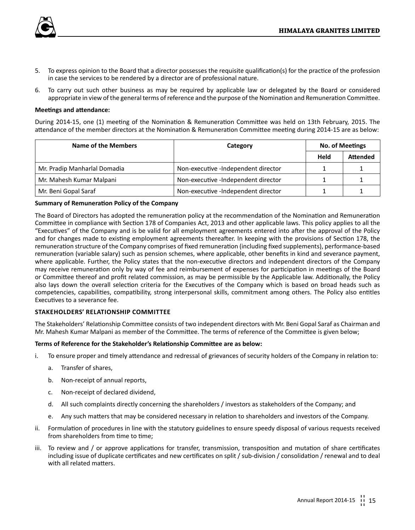

- 5. To express opinion to the Board that a director possesses the requisite qualification(s) for the practice of the profession in case the services to be rendered by a director are of professional nature.
- 6. To carry out such other business as may be required by applicable law or delegated by the Board or considered appropriate in view of the general terms of reference and the purpose of the Nomination and Remuneration Committee.

## **Meetings and attendance:**

During 2014-15, one (1) meeting of the Nomination & Remuneration Committee was held on 13th February, 2015. The attendance of the member directors at the Nomination & Remuneration Committee meeting during 2014-15 are as below:

| Name of the Members          | Category                            | No. of Meetings |                 |
|------------------------------|-------------------------------------|-----------------|-----------------|
|                              |                                     | Held            | <b>Attended</b> |
| Mr. Pradip Manharlal Domadia | Non-executive -Independent director |                 |                 |
| Mr. Mahesh Kumar Malpani     | Non-executive -Independent director |                 |                 |
| Mr. Beni Gopal Saraf         | Non-executive -Independent director |                 |                 |

## **Summary of Remuneration Policy of the Company**

The Board of Directors has adopted the remuneration policy at the recommendation of the Nomination and Remuneration Committee in compliance with Section 178 of Companies Act, 2013 and other applicable laws. This policy applies to all the "Executives" of the Company and is be valid for all employment agreements entered into after the approval of the Policy and for changes made to existing employment agreements thereafter. In keeping with the provisions of Section 178, the remuneration structure of the Company comprises of fixed remuneration (including fixed supplements), performance-based remuneration (variable salary) such as pension schemes, where applicable, other benefits in kind and severance payment, where applicable. Further, the Policy states that the non-executive directors and independent directors of the Company may receive remuneration only by way of fee and reimbursement of expenses for participation in meetings of the Board or Committee thereof and profit related commission, as may be permissible by the Applicable law. Additionally, the Policy also lays down the overall selection criteria for the Executives of the Company which is based on broad heads such as competencies, capabilities, compatibility, strong interpersonal skills, commitment among others. The Policy also entitles Executives to a severance fee.

## **Stakeholders' Relationship Committee**

The Stakeholders' Relationship Committee consists of two independent directors with Mr. Beni Gopal Saraf as Chairman and Mr. Mahesh Kumar Malpani as member of the Committee. The terms of reference of the Committee is given below;

## **Terms of Reference for the Stakeholder's Relationship Committee are as below:**

- i. To ensure proper and timely attendance and redressal of grievances of security holders of the Company in relation to:
	- a. Transfer of shares,
	- b. Non-receipt of annual reports,
	- c. Non-receipt of declared dividend,
	- d. All such complaints directly concerning the shareholders / investors as stakeholders of the Company; and
	- e. Any such matters that may be considered necessary in relation to shareholders and investors of the Company.
- ii. Formulation of procedures in line with the statutory guidelines to ensure speedy disposal of various requests received from shareholders from time to time;
- iii. To review and / or approve applications for transfer, transmission, transposition and mutation of share certificates including issue of duplicate certificates and new certificates on split / sub-division / consolidation / renewal and to deal with all related matters.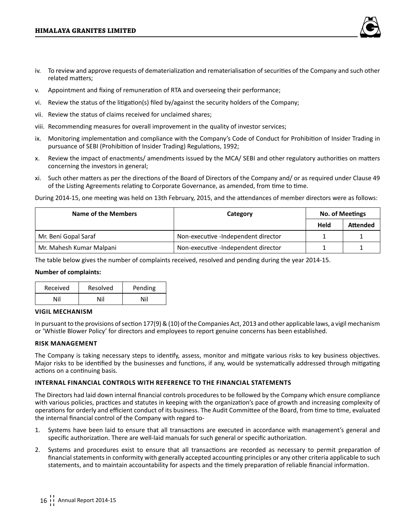- iv. To review and approve requests of dematerialization and rematerialisation of securities of the Company and such other related matters;
- v. Appointment and fixing of remuneration of RTA and overseeing their performance;
- vi. Review the status of the litigation(s) filed by/against the security holders of the Company;
- vii. Review the status of claims received for unclaimed shares;
- viii. Recommending measures for overall improvement in the quality of investor services;
- ix. Monitoring implementation and compliance with the Company's Code of Conduct for Prohibition of Insider Trading in pursuance of SEBI (Prohibition of Insider Trading) Regulations, 1992;
- x. Review the impact of enactments/ amendments issued by the MCA/ SEBI and other regulatory authorities on matters concerning the investors in general;
- xi. Such other matters as per the directions of the Board of Directors of the Company and/ or as required under Clause 49 of the Listing Agreements relating to Corporate Governance, as amended, from time to time.

During 2014-15, one meeting was held on 13th February, 2015, and the attendances of member directors were as follows:

| Name of the Members      | Category                            | <b>No. of Meetings</b> |                 |
|--------------------------|-------------------------------------|------------------------|-----------------|
|                          |                                     | Held                   | <b>Attended</b> |
| Mr. Beni Gopal Saraf     | Non-executive -Independent director |                        |                 |
| Mr. Mahesh Kumar Malpani | Non-executive -Independent director |                        |                 |

The table below gives the number of complaints received, resolved and pending during the year 2014-15.

## **Number of complaints:**

| Received | Resolved | Pending |  |
|----------|----------|---------|--|
| Nil      | Nil      | Nil     |  |

## **Vigil Mechanism**

In pursuant to the provisions of section 177(9) & (10) of the Companies Act, 2013 and other applicable laws, a vigil mechanism or 'Whistle Blower Policy' for directors and employees to report genuine concerns has been established.

## **Risk Management**

The Company is taking necessary steps to identify, assess, monitor and mitigate various risks to key business objectives. Major risks to be identified by the businesses and functions, if any, would be systematically addressed through mitigating actions on a continuing basis.

## **Internal Financial Controls with reference to the Financial Statements**

The Directors had laid down internal financial controls procedures to be followed by the Company which ensure compliance with various policies, practices and statutes in keeping with the organization's pace of growth and increasing complexity of operations for orderly and efficient conduct of its business. The Audit Committee of the Board, from time to time, evaluated the internal financial control of the Company with regard to-

- 1. Systems have been laid to ensure that all transactions are executed in accordance with management's general and specific authorization. There are well-laid manuals for such general or specific authorization.
- 2. Systems and procedures exist to ensure that all transactions are recorded as necessary to permit preparation of financial statements in conformity with generally accepted accounting principles or any other criteria applicable to such statements, and to maintain accountability for aspects and the timely preparation of reliable financial information.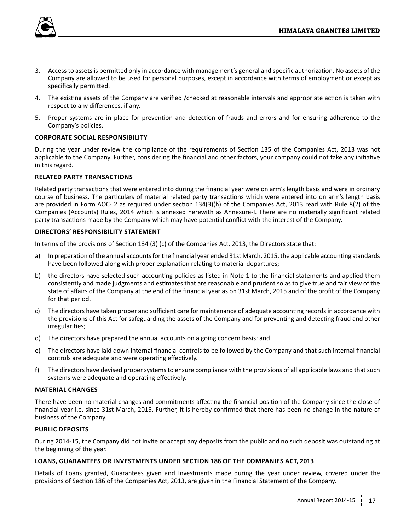

- 3. Access to assets is permitted only in accordance with management's general and specific authorization. No assets of the Company are allowed to be used for personal purposes, except in accordance with terms of employment or except as specifically permitted.
- 4. The existing assets of the Company are verified /checked at reasonable intervals and appropriate action is taken with respect to any differences, if any.
- 5. Proper systems are in place for prevention and detection of frauds and errors and for ensuring adherence to the Company's policies.

## **Corporate social responsibility**

During the year under review the compliance of the requirements of Section 135 of the Companies Act, 2013 was not applicable to the Company. Further, considering the financial and other factors, your company could not take any initiative in this regard.

## **Related Party Transactions**

Related party transactions that were entered into during the financial year were on arm's length basis and were in ordinary course of business. The particulars of material related party transactions which were entered into on arm's length basis are provided in Form AOC- 2 as required under section 134(3)(h) of the Companies Act, 2013 read with Rule 8(2) of the Companies (Accounts) Rules, 2014 which is annexed herewith as Annexure-I. There are no materially significant related party transactions made by the Company which may have potential conflict with the interest of the Company.

## **Directors' responsibility statement**

In terms of the provisions of Section 134 (3) (c) of the Companies Act, 2013, the Directors state that:

- a) In preparation of the annual accounts for the financial year ended 31st March, 2015, the applicable accounting standards have been followed along with proper explanation relating to material departures;
- b) the directors have selected such accounting policies as listed in Note 1 to the financial statements and applied them consistently and made judgments and estimates that are reasonable and prudent so as to give true and fair view of the state of affairs of the Company at the end of the financial year as on 31st March, 2015 and of the profit of the Company for that period.
- c) The directors have taken proper and sufficient care for maintenance of adequate accounting records in accordance with the provisions of this Act for safeguarding the assets of the Company and for preventing and detecting fraud and other irregularities;
- d) The directors have prepared the annual accounts on a going concern basis; and
- e) The directors have laid down internal financial controls to be followed by the Company and that such internal financial controls are adequate and were operating effectively.
- f) The directors have devised proper systems to ensure compliance with the provisions of all applicable laws and that such systems were adequate and operating effectively.

## **Material Changes**

There have been no material changes and commitments affecting the financial position of the Company since the close of financial year i.e. since 31st March, 2015. Further, it is hereby confirmed that there has been no change in the nature of business of the Company.

## **Public deposits**

During 2014-15, the Company did not invite or accept any deposits from the public and no such deposit was outstanding at the beginning of the year.

## **Loans, Guarantees or Investments under Section 186 of the Companies Act, 2013**

Details of Loans granted, Guarantees given and Investments made during the year under review, covered under the provisions of Section 186 of the Companies Act, 2013, are given in the Financial Statement of the Company.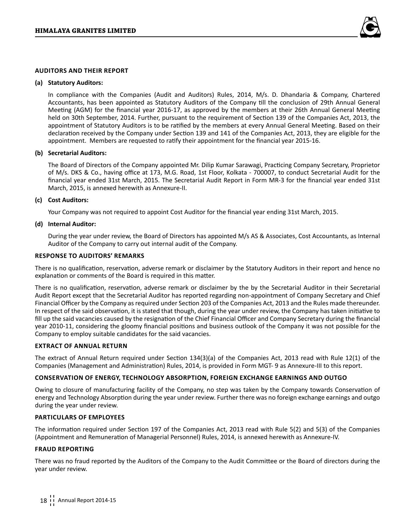

## **Auditors and their report**

## **(a) Statutory Auditors:**

In compliance with the Companies (Audit and Auditors) Rules, 2014, M/s. D. Dhandaria & Company, Chartered Accountants, has been appointed as Statutory Auditors of the Company till the conclusion of 29th Annual General Meeting (AGM) for the financial year 2016-17, as approved by the members at their 26th Annual General Meeting held on 30th September, 2014. Further, pursuant to the requirement of Section 139 of the Companies Act, 2013, the appointment of Statutory Auditors is to be ratified by the members at every Annual General Meeting. Based on their declaration received by the Company under Section 139 and 141 of the Companies Act, 2013, they are eligible for the appointment. Members are requested to ratify their appointment for the financial year 2015-16.

#### **(b) Secretarial Auditors:**

The Board of Directors of the Company appointed Mr. Dilip Kumar Sarawagi, Practicing Company Secretary, Proprietor of M/s. DKS & Co., having office at 173, M.G. Road, 1st Floor, Kolkata - 700007, to conduct Secretarial Audit for the financial year ended 31st March, 2015. The Secretarial Audit Report in Form MR-3 for the financial year ended 31st March, 2015, is annexed herewith as Annexure-II.

#### **(c) Cost Auditors:**

Your Company was not required to appoint Cost Auditor for the financial year ending 31st March, 2015.

#### **(d) Internal Auditor:**

During the year under review, the Board of Directors has appointed M/s AS & Associates, Cost Accountants, as Internal Auditor of the Company to carry out internal audit of the Company.

## **Response to Auditors' Remarks**

There is no qualification, reservation, adverse remark or disclaimer by the Statutory Auditors in their report and hence no explanation or comments of the Board is required in this matter.

There is no qualification, reservation, adverse remark or disclaimer by the by the Secretarial Auditor in their Secretarial Audit Report except that the Secretarial Auditor has reported regarding non-appointment of Company Secretary and Chief Financial Officer by the Company as required under Section 203 of the Companies Act, 2013 and the Rules made thereunder. In respect of the said observation, it is stated that though, during the year under review, the Company has taken initiative to fill up the said vacancies caused by the resignation of the Chief Financial Officer and Company Secretary during the financial year 2010-11, considering the gloomy financial positions and business outlook of the Company it was not possible for the Company to employ suitable candidates for the said vacancies.

## **Extract of Annual Return**

The extract of Annual Return required under Section 134(3)(a) of the Companies Act, 2013 read with Rule 12(1) of the Companies (Management and Administration) Rules, 2014, is provided in Form MGT- 9 as Annexure-III to this report.

## **Conservation of energy, Technology Absorption, Foreign Exchange earnings and outgo**

Owing to closure of manufacturing facility of the Company, no step was taken by the Company towards Conservation of energy and Technology Absorption during the year under review. Further there was no foreign exchange earnings and outgo during the year under review.

## **Particulars of employees**

The information required under Section 197 of the Companies Act, 2013 read with Rule 5(2) and 5(3) of the Companies (Appointment and Remuneration of Managerial Personnel) Rules, 2014, is annexed herewith as Annexure-IV.

## **Fraud Reporting**

There was no fraud reported by the Auditors of the Company to the Audit Committee or the Board of directors during the year under review.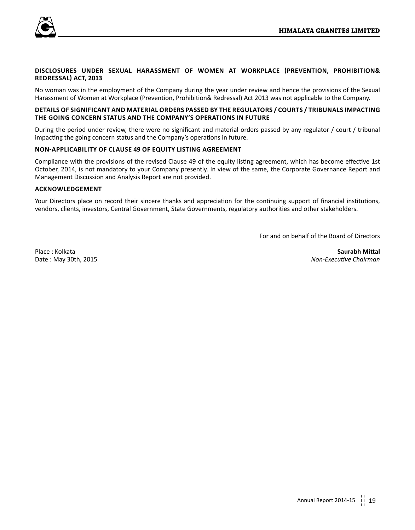

## **Disclosures under Sexual Harassment of Women at Workplace (Prevention, Prohibition& Redressal) Act, 2013**

No woman was in the employment of the Company during the year under review and hence the provisions of the Sexual Harassment of Women at Workplace (Prevention, Prohibition& Redressal) Act 2013 was not applicable to the Company.

## **Details of significant and material orders passed by the regulators / courts / tribunals impacting the going concern status and the Company's operations in future**

During the period under review, there were no significant and material orders passed by any regulator / court / tribunal impacting the going concern status and the Company's operations in future.

## **Non-applicability of Clause 49 of Equity Listing Agreement**

Compliance with the provisions of the revised Clause 49 of the equity listing agreement, which has become effective 1st October, 2014, is not mandatory to your Company presently. In view of the same, the Corporate Governance Report and Management Discussion and Analysis Report are not provided.

## **Acknowledgement**

Your Directors place on record their sincere thanks and appreciation for the continuing support of financial institutions, vendors, clients, investors, Central Government, State Governments, regulatory authorities and other stakeholders.

For and on behalf of the Board of Directors

Place : Kolkata **Saurabh Mittal**

Date : May 30th, 2015 *Non-Executive Chairman*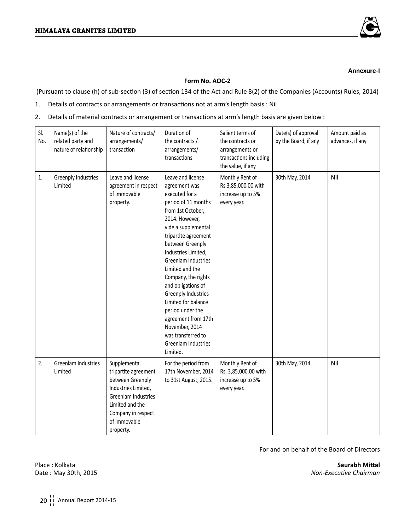

## **Annexure-I**

## **Form No. AOC-2**

(Pursuant to clause (h) of sub-section (3) of section 134 of the Act and Rule 8(2) of the Companies (Accounts) Rules, 2014)

- 1. Details of contracts or arrangements or transactions not at arm's length basis : Nil
- 2. Details of material contracts or arrangement or transactions at arm's length basis are given below :

| SI.<br>No. | Name(s) of the<br>related party and<br>nature of relationship | Nature of contracts/<br>arrangements/<br>transaction                                                                                                                         | Duration of<br>the contracts /<br>arrangements/<br>transactions                                                                                                                                                                                                                                                                                                                                                                                                         | Salient terms of<br>the contracts or<br>arrangements or<br>transactions including<br>the value, if any | Date(s) of approval<br>by the Board, if any | Amount paid as<br>advances, if any |
|------------|---------------------------------------------------------------|------------------------------------------------------------------------------------------------------------------------------------------------------------------------------|-------------------------------------------------------------------------------------------------------------------------------------------------------------------------------------------------------------------------------------------------------------------------------------------------------------------------------------------------------------------------------------------------------------------------------------------------------------------------|--------------------------------------------------------------------------------------------------------|---------------------------------------------|------------------------------------|
| 1.         | Greenply Industries<br>Limited                                | Leave and license<br>agreement in respect<br>of immovable<br>property.                                                                                                       | Leave and license<br>agreement was<br>executed for a<br>period of 11 months<br>from 1st October,<br>2014. However,<br>vide a supplemental<br>tripartite agreement<br>between Greenply<br>Industries Limited,<br>Greenlam Industries<br>Limited and the<br>Company, the rights<br>and obligations of<br>Greenply Industries<br>Limited for balance<br>period under the<br>agreement from 17th<br>November, 2014<br>was transferred to<br>Greenlam Industries<br>Limited. | Monthly Rent of<br>Rs.3,85,000.00 with<br>increase up to 5%<br>every year.                             | 30th May, 2014                              | Nil                                |
| 2.         | Greenlam Industries<br>Limited                                | Supplemental<br>tripartite agreement<br>between Greenply<br>Industries Limited,<br>Greenlam Industries<br>Limited and the<br>Company in respect<br>of immovable<br>property. | For the period from<br>17th November, 2014<br>to 31st August, 2015.                                                                                                                                                                                                                                                                                                                                                                                                     | Monthly Rent of<br>Rs. 3,85,000.00 with<br>increase up to 5%<br>every year.                            | 30th May, 2014                              | Nil                                |

For and on behalf of the Board of Directors

Place : Kolkata **Saurabh Mittal**

Date : May 30th, 2015 *Non-Executive Chairman*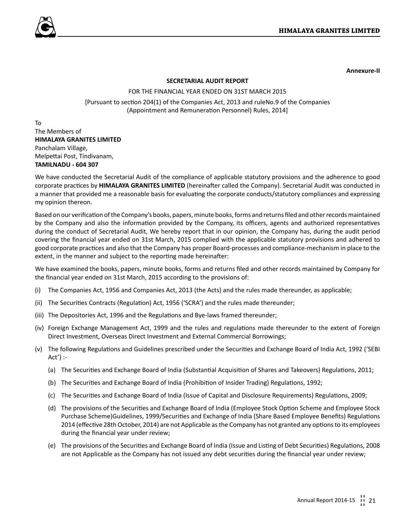



**Annexure-II**

## **SECRETARIAL AUDIT REPORT**

## FOR THE FINANCIAL YEAR ENDED ON 31ST MARCH 2015

[Pursuant to section 204(1) of the Companies Act, 2013 and ruleNo.9 of the Companies (Appointment and Remuneration Personnel) Rules, 2014]

To The Members of **HIMALAYA GRANITES LIMITED** Panchalam Village, Melpettai Post, Tindivanam, **TAMILNADU - 604 307**

We have conducted the Secretarial Audit of the compliance of applicable statutory provisions and the adherence to good corporate practices by **HIMALAYA GRANITES LIMITED** (hereinafter called the Company). Secretarial Audit was conducted in a manner that provided me a reasonable basis for evaluating the corporate conducts/statutory compliances and expressing my opinion thereon.

Based on our verification of the Company's books, papers, minute books, forms and returns filed and other records maintained by the Company and also the information provided by the Company, its officers, agents and authorized representatives during the conduct of Secretarial Audit, We hereby report that in our opinion, the Company has, during the audit period covering the financial year ended on 31st March, 2015 complied with the applicable statutory provisions and adhered to good corporate practices and also that the Company has proper Board-processes and compliance-mechanism in place to the extent, in the manner and subject to the reporting made hereinafter:

We have examined the books, papers, minute books, forms and returns filed and other records maintained by Company for the financial year ended on 31st March, 2015 according to the provisions of:

- (i) The Companies Act, 1956 and Companies Act, 2013 (the Acts) and the rules made thereunder, as applicable;
- (ii) The Securities Contracts (Regulation) Act, 1956 ('SCRA') and the rules made thereunder;
- (iii) The Depositories Act, 1996 and the Regulations and Bye-laws framed thereunder;
- (iv) Foreign Exchange Management Act, 1999 and the rules and regulations made thereunder to the extent of Foreign Direct Investment, Overseas Direct Investment and External Commercial Borrowings;
- (v) The following Regulations and Guidelines prescribed under the Securities and Exchange Board of India Act, 1992 ('SEBI Act') :-
	- (a) The Securities and Exchange Board of India (Substantial Acquisition of Shares and Takeovers) Regulations, 2011;
	- (b) The Securities and Exchange Board of India (Prohibition of Insider Trading) Regulations, 1992;
	- (c) The Securities and Exchange Board of India (Issue of Capital and Disclosure Requirements) Regulations, 2009;
	- (d) The provisions of the Securities and Exchange Board of India (Employee Stock Option Scheme and Employee Stock Purchase Scheme)Guidelines, 1999/Securities and Exchange of India (Share Based Employee Benefits) Regulations 2014 (effective 28th October, 2014) are not Applicable as the Company has not granted any options to its employees during the financial year under review;
	- (e) The provisions of the Securities and Exchange Board of India (Issue and Listing of Debt Securities) Regulations, 2008 are not Applicable as the Company has not issued any debt securities during the financial year under review;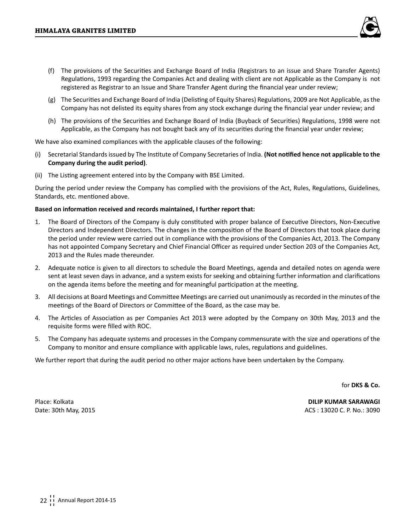

- (f) The provisions of the Securities and Exchange Board of India (Registrars to an issue and Share Transfer Agents) Regulations, 1993 regarding the Companies Act and dealing with client are not Applicable as the Company is not registered as Registrar to an Issue and Share Transfer Agent during the financial year under review;
- (g) The Securities and Exchange Board of India (Delisting of Equity Shares) Regulations, 2009 are Not Applicable, as the Company has not delisted its equity shares from any stock exchange during the financial year under review; and
- (h) The provisions of the Securities and Exchange Board of India (Buyback of Securities) Regulations, 1998 were not Applicable, as the Company has not bought back any of its securities during the financial year under review;

We have also examined compliances with the applicable clauses of the following:

- (i) Secretarial Standards issued by The Institute of Company Secretaries of India. **(Not notified hence not applicable to the Company during the audit period)**.
- (ii) The Listing agreement entered into by the Company with BSE Limited.

During the period under review the Company has complied with the provisions of the Act, Rules, Regulations, Guidelines, Standards, etc. mentioned above.

## **Based on information received and records maintained, I further report that:**

- 1. The Board of Directors of the Company is duly constituted with proper balance of Executive Directors, Non-Executive Directors and Independent Directors. The changes in the composition of the Board of Directors that took place during the period under review were carried out in compliance with the provisions of the Companies Act, 2013. The Company has not appointed Company Secretary and Chief Financial Officer as required under Section 203 of the Companies Act, 2013 and the Rules made thereunder.
- 2. Adequate notice is given to all directors to schedule the Board Meetings, agenda and detailed notes on agenda were sent at least seven days in advance, and a system exists for seeking and obtaining further information and clarifications on the agenda items before the meeting and for meaningful participation at the meeting.
- 3. All decisions at Board Meetings and Committee Meetings are carried out unanimously as recorded in the minutes of the meetings of the Board of Directors or Committee of the Board, as the case may be.
- 4. The Articles of Association as per Companies Act 2013 were adopted by the Company on 30th May, 2013 and the requisite forms were filled with ROC.
- 5. The Company has adequate systems and processes in the Company commensurate with the size and operations of the Company to monitor and ensure compliance with applicable laws, rules, regulations and guidelines.

We further report that during the audit period no other major actions have been undertaken by the Company.

for **DKS & Co.**

Place: Kolkata **DILIP KUMAR SARAWAGI** Date: 30th May, 2015 **ACS : 13020 C. P. No.: 3090** C.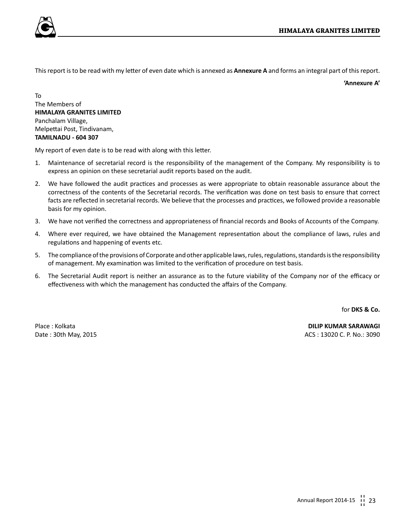This report is to be read with my letter of even date which is annexed as **Annexure A** and forms an integral part of this report.

**'Annexure A'**

To The Members of **HIMALAYA GRANITES LIMITED** Panchalam Village, Melpettai Post, Tindivanam, **TAMILNADU - 604 307**

My report of even date is to be read with along with this letter.

- 1. Maintenance of secretarial record is the responsibility of the management of the Company. My responsibility is to express an opinion on these secretarial audit reports based on the audit.
- 2. We have followed the audit practices and processes as were appropriate to obtain reasonable assurance about the correctness of the contents of the Secretarial records. The verification was done on test basis to ensure that correct facts are reflected in secretarial records. We believe that the processes and practices, we followed provide a reasonable basis for my opinion.
- 3. We have not verified the correctness and appropriateness of financial records and Books of Accounts of the Company.
- 4. Where ever required, we have obtained the Management representation about the compliance of laws, rules and regulations and happening of events etc.
- 5. The compliance of the provisions of Corporate and other applicable laws, rules, regulations, standards is the responsibility of management. My examination was limited to the verification of procedure on test basis.
- 6. The Secretarial Audit report is neither an assurance as to the future viability of the Company nor of the efficacy or effectiveness with which the management has conducted the affairs of the Company.

for **DKS & Co.**

Place : Kolkata **DILIP KUMAR SARAWAGI** Date : 30th May, 2015 **ACS : 13020 C. P. No.: 3090**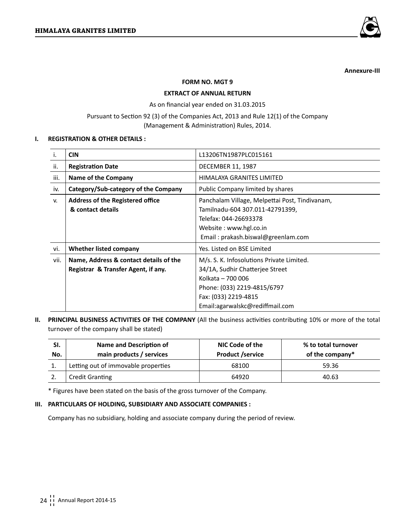

**Annexure-III**

## **FORM NO. MGT 9**

## **EXTRACT OF ANNUAL RETURN**

As on financial year ended on 31.03.2015

Pursuant to Section 92 (3) of the Companies Act, 2013 and Rule 12(1) of the Company (Management & Administration) Rules, 2014.

## **I. REGISTRATION & OTHER DETAILS :**

| i.   | <b>CIN</b>                              | L13206TN1987PLC015161                          |
|------|-----------------------------------------|------------------------------------------------|
| ii.  | <b>Registration Date</b>                | <b>DECEMBER 11, 1987</b>                       |
| iii. | <b>Name of the Company</b>              | HIMALAYA GRANITES LIMITED                      |
| iv.  | Category/Sub-category of the Company    | Public Company limited by shares               |
| v.   | <b>Address of the Registered office</b> | Panchalam Village, Melpettai Post, Tindivanam, |
|      | & contact details                       | Tamilnadu-604 307.011-42791399,                |
|      |                                         | Telefax: 044-26693378                          |
|      |                                         | Website: www.hgl.co.in                         |
|      |                                         | Email: prakash.biswal@greenlam.com             |
| vi.  | Whether listed company                  | Yes. Listed on BSE Limited                     |
| vii. | Name, Address & contact details of the  | M/s. S. K. Infosolutions Private Limited.      |
|      | Registrar & Transfer Agent, if any.     | 34/1A, Sudhir Chatterjee Street                |
|      |                                         | Kolkata - 700 006                              |
|      |                                         | Phone: (033) 2219-4815/6797                    |
|      |                                         | Fax: (033) 2219-4815                           |
|      |                                         | Email:agarwalskc@rediffmail.com                |

## **II. PRINCIPAL BUSINESS ACTIVITIES OF THE COMPANY** (All the business activities contributing 10% or more of the total turnover of the company shall be stated)

| SI.<br>No. | Name and Description of<br>main products / services | NIC Code of the<br><b>Product /service</b> | % to total turnover<br>of the company* |
|------------|-----------------------------------------------------|--------------------------------------------|----------------------------------------|
|            | Letting out of immovable properties                 | 68100                                      | 59.36                                  |
|            | <b>Credit Granting</b>                              | 64920                                      | 40.63                                  |

\* Figures have been stated on the basis of the gross turnover of the Company.

## **III. PARTICULARS OF HOLDING, SUBSIDIARY AND ASSOCIATE COMPANIES :**

Company has no subsidiary, holding and associate company during the period of review.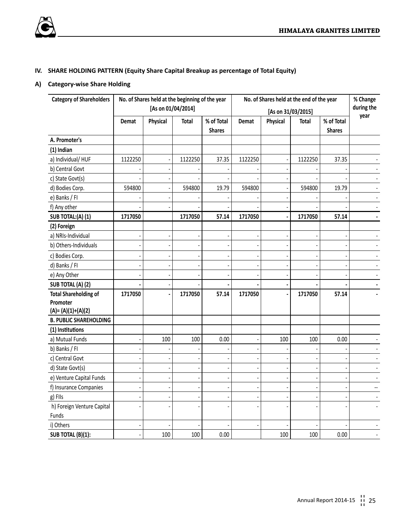

## **IV. SHARE HOLDING PATTERN (Equity Share Capital Breakup as percentage of Total Equity)**

## **A) Category-wise Share Holding**

| <b>Category of Shareholders</b> |         | No. of Shares held at the beginning of the year |         |               |         | No. of Shares held at the end of the year |                    |               | % Change                 |
|---------------------------------|---------|-------------------------------------------------|---------|---------------|---------|-------------------------------------------|--------------------|---------------|--------------------------|
|                                 |         | [As on 01/04/2014]                              |         |               |         |                                           | [As on 31/03/2015] |               | during the               |
|                                 | Demat   | Physical                                        | Total   | % of Total    | Demat   | Physical                                  | Total              | % of Total    | year                     |
|                                 |         |                                                 |         | <b>Shares</b> |         |                                           |                    | <b>Shares</b> |                          |
| A. Promoter's                   |         |                                                 |         |               |         |                                           |                    |               |                          |
| (1) Indian                      |         |                                                 |         |               |         |                                           |                    |               |                          |
| a) Individual/HUF               | 1122250 |                                                 | 1122250 | 37.35         | 1122250 |                                           | 1122250            | 37.35         |                          |
| b) Central Govt                 |         |                                                 |         |               |         |                                           |                    |               |                          |
| c) State Govt(s)                |         |                                                 |         |               |         |                                           |                    |               |                          |
| d) Bodies Corp.                 | 594800  |                                                 | 594800  | 19.79         | 594800  |                                           | 594800             | 19.79         |                          |
| e) Banks / FI                   |         |                                                 |         |               |         |                                           |                    |               |                          |
| f) Any other                    |         |                                                 |         |               |         |                                           |                    |               | ÷.                       |
| SUB TOTAL:(A)(1)                | 1717050 |                                                 | 1717050 | 57.14         | 1717050 | $\overline{a}$                            | 1717050            | 57.14         |                          |
| (2) Foreign                     |         |                                                 |         |               |         |                                           |                    |               |                          |
| a) NRIs-Individual              |         |                                                 |         |               |         |                                           |                    |               |                          |
| b) Others-Individuals           |         |                                                 |         |               |         |                                           |                    |               |                          |
| c) Bodies Corp.                 |         |                                                 |         |               |         |                                           |                    |               |                          |
| d) Banks / Fl                   |         |                                                 |         |               |         |                                           |                    |               |                          |
| e) Any Other                    |         |                                                 |         |               |         |                                           |                    |               |                          |
| SUB TOTAL (A) (2)               |         |                                                 |         |               |         |                                           |                    |               | $\blacksquare$           |
| <b>Total Shareholding of</b>    | 1717050 |                                                 | 1717050 | 57.14         | 1717050 |                                           | 1717050            | 57.14         |                          |
| Promoter                        |         |                                                 |         |               |         |                                           |                    |               |                          |
| $(A)=(A)(1)+(A)(2)$             |         |                                                 |         |               |         |                                           |                    |               |                          |
| <b>B. PUBLIC SHAREHOLDING</b>   |         |                                                 |         |               |         |                                           |                    |               |                          |
| (1) Institutions                |         |                                                 |         |               |         |                                           |                    |               |                          |
| a) Mutual Funds                 |         | 100                                             | 100     | 0.00          |         | 100                                       | 100                | 0.00          |                          |
| b) Banks / Fl                   |         |                                                 |         |               |         |                                           |                    |               | $\sim$                   |
| c) Central Govt                 |         |                                                 |         |               |         |                                           |                    |               | $\overline{\phantom{a}}$ |
| d) State Govt(s)                |         |                                                 |         |               |         |                                           |                    |               |                          |
| e) Venture Capital Funds        |         |                                                 |         |               |         |                                           |                    |               |                          |
| f) Insurance Companies          |         |                                                 |         |               |         |                                           |                    |               | н.                       |
| g) FIIs                         |         |                                                 |         |               |         |                                           |                    |               |                          |
| h) Foreign Venture Capital      |         |                                                 |         |               |         |                                           |                    |               |                          |
| Funds                           |         |                                                 |         |               |         |                                           |                    |               |                          |
| i) Others                       |         |                                                 |         |               |         |                                           |                    |               |                          |
| SUB TOTAL (B)(1):               |         | 100                                             | 100     | 0.00          |         | 100                                       | 100                | 0.00          |                          |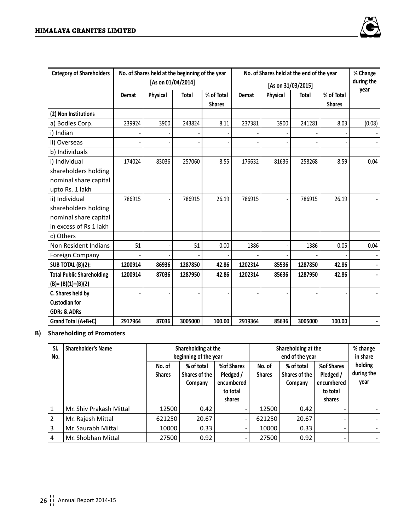

| <b>Category of Shareholders</b>  |         | No. of Shares held at the beginning of the year |              |               |                    | No. of Shares held at the end of the year |              |               | % Change   |
|----------------------------------|---------|-------------------------------------------------|--------------|---------------|--------------------|-------------------------------------------|--------------|---------------|------------|
|                                  |         | [As on 01/04/2014]                              |              |               | [As on 31/03/2015] |                                           |              |               | during the |
|                                  | Demat   | Physical                                        | <b>Total</b> | % of Total    | Demat              | Physical                                  | <b>Total</b> | % of Total    | year       |
|                                  |         |                                                 |              | <b>Shares</b> |                    |                                           |              | <b>Shares</b> |            |
| (2) Non Institutions             |         |                                                 |              |               |                    |                                           |              |               |            |
| a) Bodies Corp.                  | 239924  | 3900                                            | 243824       | 8.11          | 237381             | 3900                                      | 241281       | 8.03          | (0.08)     |
| i) Indian                        |         |                                                 |              |               |                    |                                           |              |               |            |
| ii) Overseas                     |         |                                                 |              |               |                    |                                           |              |               |            |
| b) Individuals                   |         |                                                 |              |               |                    |                                           |              |               |            |
| i) Individual                    | 174024  | 83036                                           | 257060       | 8.55          | 176632             | 81636                                     | 258268       | 8.59          | 0.04       |
| shareholders holding             |         |                                                 |              |               |                    |                                           |              |               |            |
| nominal share capital            |         |                                                 |              |               |                    |                                           |              |               |            |
| upto Rs. 1 lakh                  |         |                                                 |              |               |                    |                                           |              |               |            |
| ii) Individual                   | 786915  |                                                 | 786915       | 26.19         | 786915             |                                           | 786915       | 26.19         |            |
| shareholders holding             |         |                                                 |              |               |                    |                                           |              |               |            |
| nominal share capital            |         |                                                 |              |               |                    |                                           |              |               |            |
| in excess of Rs 1 lakh           |         |                                                 |              |               |                    |                                           |              |               |            |
| c) Others                        |         |                                                 |              |               |                    |                                           |              |               |            |
| Non Resident Indians             | 51      |                                                 | 51           | 0.00          | 1386               |                                           | 1386         | 0.05          | 0.04       |
| Foreign Company                  |         |                                                 |              |               |                    |                                           |              |               |            |
| SUB TOTAL (B)(2):                | 1200914 | 86936                                           | 1287850      | 42.86         | 1202314            | 85536                                     | 1287850      | 42.86         |            |
| <b>Total Public Shareholding</b> | 1200914 | 87036                                           | 1287950      | 42.86         | 1202314            | 85636                                     | 1287950      | 42.86         |            |
| $(B)=(B)(1)+(B)(2)$              |         |                                                 |              |               |                    |                                           |              |               |            |
| C. Shares held by                |         |                                                 |              |               |                    |                                           |              |               |            |
| <b>Custodian for</b>             |         |                                                 |              |               |                    |                                           |              |               |            |
| <b>GDRs &amp; ADRs</b>           |         |                                                 |              |               |                    |                                           |              |               |            |
| Grand Total (A+B+C)              | 2917964 | 87036                                           | 3005000      | 100.00        | 2919364            | 85636                                     | 3005000      | 100.00        |            |

## **B) Shareholding of Promoters**

| SI.<br>No.     | <b>Shareholder's Name</b> | Shareholding at the<br>beginning of the year |                                        |                                                             | Shareholding at the     | % change<br>in share                   |                                                             |                               |
|----------------|---------------------------|----------------------------------------------|----------------------------------------|-------------------------------------------------------------|-------------------------|----------------------------------------|-------------------------------------------------------------|-------------------------------|
|                |                           | No. of<br><b>Shares</b>                      | % of total<br>Shares of the<br>Company | %of Shares<br>Pledged /<br>encumbered<br>to total<br>shares | No. of<br><b>Shares</b> | % of total<br>Shares of the<br>Company | %of Shares<br>Pledged /<br>encumbered<br>to total<br>shares | holding<br>during the<br>year |
| 1              | Mr. Shiv Prakash Mittal   | 12500                                        | 0.42                                   | -                                                           | 12500                   | 0.42                                   |                                                             |                               |
| $\overline{2}$ | Mr. Rajesh Mittal         | 621250                                       | 20.67                                  | $\overline{\phantom{a}}$                                    | 621250                  | 20.67                                  |                                                             |                               |
| 3              | Mr. Saurabh Mittal        | 10000                                        | 0.33                                   | $\overline{\phantom{a}}$                                    | 10000                   | 0.33                                   |                                                             |                               |
| 4              | Mr. Shobhan Mittal        | 27500                                        | 0.92                                   | -                                                           | 27500                   | 0.92                                   |                                                             |                               |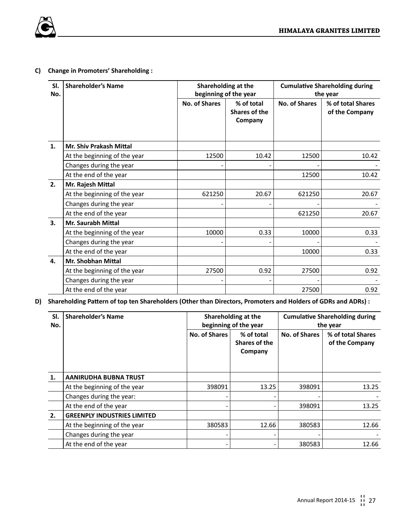

## **C) Change in Promoters' Shareholding :**

| SI.<br>No. | <b>Shareholder's Name</b>    |               | Shareholding at the<br>beginning of the year |               | <b>Cumulative Shareholding during</b><br>the year |
|------------|------------------------------|---------------|----------------------------------------------|---------------|---------------------------------------------------|
|            |                              | No. of Shares | % of total<br>Shares of the<br>Company       | No. of Shares | % of total Shares<br>of the Company               |
| 1.         | Mr. Shiv Prakash Mittal      |               |                                              |               |                                                   |
|            | At the beginning of the year | 12500         | 10.42                                        | 12500         | 10.42                                             |
|            | Changes during the year      |               |                                              |               |                                                   |
|            | At the end of the year       |               |                                              | 12500         | 10.42                                             |
| 2.         | Mr. Rajesh Mittal            |               |                                              |               |                                                   |
|            | At the beginning of the year | 621250        | 20.67                                        | 621250        | 20.67                                             |
|            | Changes during the year      |               |                                              |               |                                                   |
|            | At the end of the year       |               |                                              | 621250        | 20.67                                             |
| 3.         | Mr. Saurabh Mittal           |               |                                              |               |                                                   |
|            | At the beginning of the year | 10000         | 0.33                                         | 10000         | 0.33                                              |
|            | Changes during the year      |               |                                              |               |                                                   |
|            | At the end of the year       |               |                                              | 10000         | 0.33                                              |
| 4.         | Mr. Shobhan Mittal           |               |                                              |               |                                                   |
|            | At the beginning of the year | 27500         | 0.92                                         | 27500         | 0.92                                              |
|            | Changes during the year      |               |                                              |               |                                                   |
|            | At the end of the year       |               |                                              | 27500         | 0.92                                              |

## **D) Shareholding Pattern of top ten Shareholders (Other than Directors, Promoters and Holders of GDRs and ADRs) :**

| SI.<br>No. | <b>Shareholder's Name</b>          |               | Shareholding at the<br>beginning of the year |               | <b>Cumulative Shareholding during</b><br>the year |  |  |
|------------|------------------------------------|---------------|----------------------------------------------|---------------|---------------------------------------------------|--|--|
|            |                                    | No. of Shares | % of total<br>Shares of the<br>Company       | No. of Shares | % of total Shares<br>of the Company               |  |  |
| 1.         | <b>AANIRUDHA BUBNA TRUST</b>       |               |                                              |               |                                                   |  |  |
|            | At the beginning of the year       | 398091        | 13.25                                        | 398091        | 13.25                                             |  |  |
|            | Changes during the year:           |               |                                              |               |                                                   |  |  |
|            | At the end of the year             |               |                                              | 398091        | 13.25                                             |  |  |
| 2.         | <b>GREENPLY INDUSTRIES LIMITED</b> |               |                                              |               |                                                   |  |  |
|            | At the beginning of the year       | 380583        | 12.66                                        | 380583        | 12.66                                             |  |  |
|            | Changes during the year            |               |                                              |               |                                                   |  |  |
|            | At the end of the year             |               |                                              | 380583        | 12.66                                             |  |  |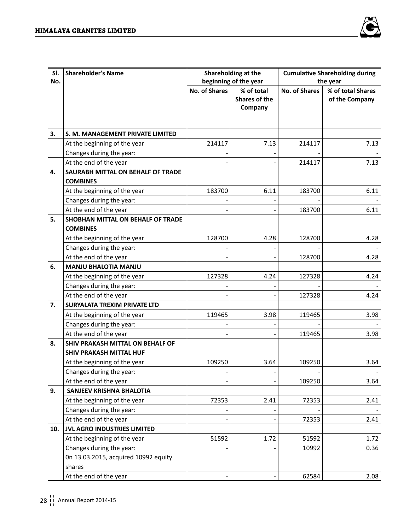

| SI.<br>No. | <b>Shareholder's Name</b>                            |                      | Shareholding at the<br>beginning of the year |                      | <b>Cumulative Shareholding during</b><br>the year |
|------------|------------------------------------------------------|----------------------|----------------------------------------------|----------------------|---------------------------------------------------|
|            |                                                      | <b>No. of Shares</b> | % of total<br>Shares of the<br>Company       | <b>No. of Shares</b> | % of total Shares<br>of the Company               |
| 3.         | S. M. MANAGEMENT PRIVATE LIMITED                     |                      |                                              |                      |                                                   |
|            | At the beginning of the year                         | 214117               | 7.13                                         | 214117               | 7.13                                              |
|            | Changes during the year:                             |                      |                                              |                      |                                                   |
|            | At the end of the year                               |                      |                                              | 214117               | 7.13                                              |
| 4.         | SAURABH MITTAL ON BEHALF OF TRADE<br><b>COMBINES</b> |                      |                                              |                      |                                                   |
|            | At the beginning of the year                         | 183700               | 6.11                                         | 183700               | 6.11                                              |
|            | Changes during the year:                             |                      |                                              |                      |                                                   |
|            | At the end of the year                               |                      |                                              | 183700               | 6.11                                              |
| 5.         | SHOBHAN MITTAL ON BEHALF OF TRADE<br><b>COMBINES</b> |                      |                                              |                      |                                                   |
|            | At the beginning of the year                         | 128700               | 4.28                                         | 128700               | 4.28                                              |
|            | Changes during the year:                             |                      |                                              |                      |                                                   |
|            | At the end of the year                               |                      |                                              | 128700               | 4.28                                              |
| 6.         | <b>MANJU BHALOTIA MANJU</b>                          |                      |                                              |                      |                                                   |
|            | At the beginning of the year                         | 127328               | 4.24                                         | 127328               | 4.24                                              |
|            | Changes during the year:                             |                      |                                              |                      |                                                   |
|            | At the end of the year                               |                      |                                              | 127328               | 4.24                                              |
| 7.         | SURYALATA TREXIM PRIVATE LTD                         |                      |                                              |                      |                                                   |
|            | At the beginning of the year                         | 119465               | 3.98                                         | 119465               | 3.98                                              |
|            | Changes during the year:                             |                      |                                              |                      |                                                   |
|            | At the end of the year                               |                      |                                              | 119465               | 3.98                                              |
| 8.         | SHIV PRAKASH MITTAL ON BEHALF OF                     |                      |                                              |                      |                                                   |
|            | SHIV PRAKASH MITTAL HUF                              |                      |                                              |                      |                                                   |
|            | At the beginning of the year                         | 109250               | 3.64                                         | 109250               | 3.64                                              |
|            | Changes during the year:                             |                      |                                              |                      |                                                   |
|            | At the end of the year                               |                      |                                              | 109250               | 3.64                                              |
| 9.         | SANJEEV KRISHNA BHALOTIA                             |                      |                                              |                      |                                                   |
|            | At the beginning of the year                         | 72353                | 2.41                                         | 72353                | 2.41                                              |
|            | Changes during the year:                             |                      |                                              |                      |                                                   |
|            | At the end of the year                               |                      |                                              | 72353                | 2.41                                              |
| 10.        | JVL AGRO INDUSTRIES LIMITED                          |                      |                                              |                      |                                                   |
|            | At the beginning of the year                         | 51592                | 1.72                                         | 51592                | 1.72                                              |
|            | Changes during the year:                             |                      |                                              | 10992                | 0.36                                              |
|            | 0n 13.03.2015, acquired 10992 equity                 |                      |                                              |                      |                                                   |
|            | shares                                               |                      |                                              |                      |                                                   |
|            | At the end of the year                               |                      |                                              | 62584                | 2.08                                              |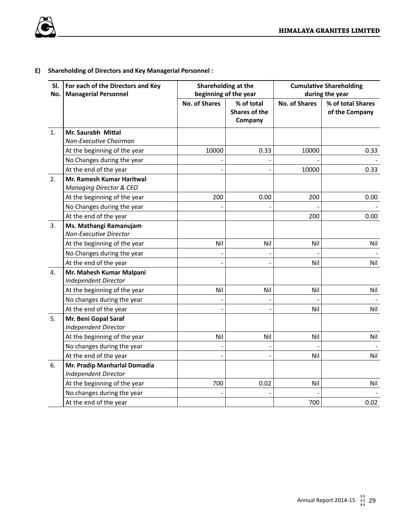

## **E) Shareholding of Directors and Key Managerial Personnel :**

| SI. | For each of the Directors and Key | Shareholding at the   |               |                      | <b>Cumulative Shareholding</b> |  |  |
|-----|-----------------------------------|-----------------------|---------------|----------------------|--------------------------------|--|--|
| No. | <b>Managerial Personnel</b>       | beginning of the year |               |                      | during the year                |  |  |
|     |                                   | <b>No. of Shares</b>  | % of total    | <b>No. of Shares</b> | % of total Shares              |  |  |
|     |                                   |                       | Shares of the |                      | of the Company                 |  |  |
|     |                                   |                       | Company       |                      |                                |  |  |
| 1.  | Mr. Saurabh Mittal                |                       |               |                      |                                |  |  |
|     | Non-Executive Chairman            |                       |               |                      |                                |  |  |
|     | At the beginning of the year      | 10000                 | 0.33          | 10000                | 0.33                           |  |  |
|     | No Changes during the year        |                       |               |                      |                                |  |  |
|     | At the end of the year            |                       |               | 10000                | 0.33                           |  |  |
| 2.  | Mr. Ramesh Kumar Haritwal         |                       |               |                      |                                |  |  |
|     | Managing Director & CEO           |                       |               |                      |                                |  |  |
|     | At the beginning of the year      | 200                   | 0.00          | 200                  | 0.00                           |  |  |
|     | No Changes during the year        |                       |               |                      |                                |  |  |
|     | At the end of the year            |                       |               | 200                  | 0.00                           |  |  |
| 3.  | Ms. Mathangi Ramanujam            |                       |               |                      |                                |  |  |
|     | <b>Non-Executive Director</b>     |                       |               |                      |                                |  |  |
|     | At the beginning of the year      | Nil                   | Nil           | Nil                  | Nil                            |  |  |
|     | No Changes during the year        |                       |               |                      |                                |  |  |
|     | At the end of the year            |                       |               | Nil                  | Nil                            |  |  |
| 4.  | Mr. Mahesh Kumar Malpani          |                       |               |                      |                                |  |  |
|     | <b>Independent Director</b>       |                       |               |                      |                                |  |  |
|     | At the beginning of the year      | Nil                   | Nil           | Nil                  | Nil                            |  |  |
|     | No changes during the year        |                       |               |                      |                                |  |  |
|     | At the end of the year            |                       |               | Nil                  | Nil                            |  |  |
| 5.  | Mr. Beni Gopal Saraf              |                       |               |                      |                                |  |  |
|     | <b>Independent Director</b>       |                       |               |                      |                                |  |  |
|     | At the beginning of the year      | Nil                   | Nil           | Nil                  | Nil                            |  |  |
|     | No changes during the year        |                       |               |                      |                                |  |  |
|     | At the end of the year            |                       |               | Nil                  | Nil                            |  |  |
| 6.  | Mr. Pradip Manharlal Domadia      |                       |               |                      |                                |  |  |
|     | <b>Independent Director</b>       |                       |               |                      |                                |  |  |
|     | At the beginning of the year      | 700                   | 0.02          | Nil                  | Nil                            |  |  |
|     | No changes during the year        |                       |               |                      |                                |  |  |
|     | At the end of the year            |                       |               | 700                  | 0.02                           |  |  |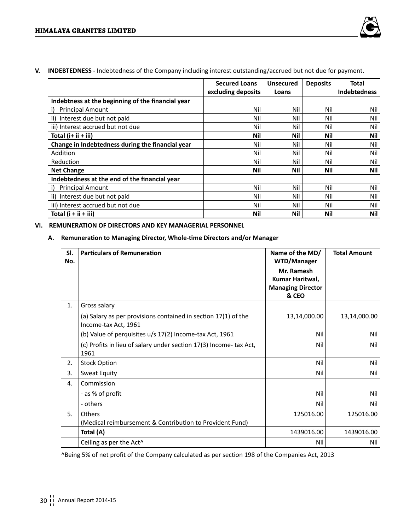

**V. INDEBTEDNESS -** Indebtedness of the Company including interest outstanding/accrued but not due for payment.

|                                                   | <b>Secured Loans</b> | <b>Unsecured</b> | <b>Deposits</b> | Total               |
|---------------------------------------------------|----------------------|------------------|-----------------|---------------------|
|                                                   | excluding deposits   | Loans            |                 | <b>Indebtedness</b> |
| Indebtness at the beginning of the financial year |                      |                  |                 |                     |
| <b>Principal Amount</b><br>i)                     | Nil                  | Nil              | Nil             | Nil                 |
| ii) Interest due but not paid                     | Nil                  | Nil              | Nil             | Nil                 |
| iii) Interest accrued but not due                 | Nil                  | Nil              | Nil             | Nil                 |
| Total $(i+ ii + iii)$                             | Nil                  | Nil              | Nil             | Nil                 |
| Change in Indebtedness during the financial year  | Nil                  | Nil              | Nil             | Nil                 |
| Addition                                          | Nil                  | Nil              | Nil             | Nil                 |
| Reduction                                         | Nil                  | Nil              | Nil             | Nil                 |
| <b>Net Change</b>                                 | Nil                  | Nil              | Nil             | Nil                 |
| Indebtedness at the end of the financial year     |                      |                  |                 |                     |
| <b>Principal Amount</b><br>i)                     | Nil                  | Nil              | Nil             | Nil                 |
| ii) Interest due but not paid                     | Nil                  | Nil              | Nil             | Nil                 |
| iii) Interest accrued but not due                 | Nil                  | Nil              | Nil             | Nil                 |
| Total $(i + ii + iii)$                            | Nil                  | Nil              | Nil             | Nil                 |

## **VI. REMUNERATION OF DIRECTORS AND KEY MANAGERIAL PERSONNEL**

## **A. Remuneration to Managing Director, Whole-time Directors and/or Manager**

| SI.<br>No. | <b>Particulars of Remuneration</b>                                                     | Name of the MD/<br>WTD/Manager<br>Mr. Ramesh<br>Kumar Haritwal,<br><b>Managing Director</b><br>& CEO | <b>Total Amount</b> |
|------------|----------------------------------------------------------------------------------------|------------------------------------------------------------------------------------------------------|---------------------|
| 1.         | Gross salary                                                                           |                                                                                                      |                     |
|            | (a) Salary as per provisions contained in section 17(1) of the<br>Income-tax Act, 1961 | 13,14,000.00                                                                                         | 13,14,000.00        |
|            | (b) Value of perquisites u/s 17(2) Income-tax Act, 1961                                | Nil                                                                                                  | Nil                 |
|            | (c) Profits in lieu of salary under section 17(3) Income- tax Act,<br>1961             | Nil                                                                                                  | Nil                 |
| 2.         | <b>Stock Option</b>                                                                    | Nil                                                                                                  | Nil                 |
| 3.         | Sweat Equity                                                                           | Nil                                                                                                  | Nil                 |
| 4.         | Commission                                                                             |                                                                                                      |                     |
|            | - as % of profit                                                                       | Nil                                                                                                  | Nil                 |
|            | - others                                                                               | Nil                                                                                                  | Nil                 |
| 5.         | Others                                                                                 | 125016.00                                                                                            | 125016.00           |
|            | (Medical reimbursement & Contribution to Provident Fund)                               |                                                                                                      |                     |
|            | Total (A)                                                                              | 1439016.00                                                                                           | 1439016.00          |
|            | Ceiling as per the Act <sup>^</sup>                                                    | Nil                                                                                                  | Nil                 |

^Being 5% of net profit of the Company calculated as per section 198 of the Companies Act, 2013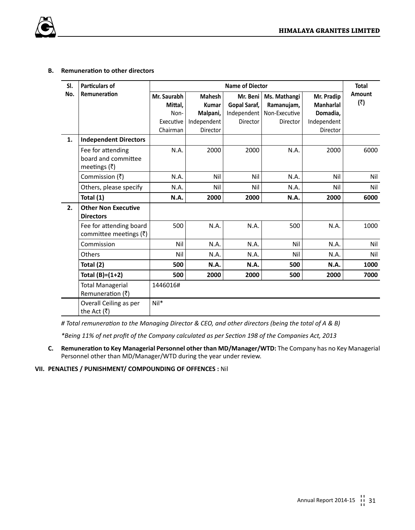## **B. Remuneration to other directors**

| SI. | <b>Particulars of</b>                                                                      |                                             |                                                   | <b>Name of Diector</b>                              |                                                         |                                                           | <b>Total</b>  |
|-----|--------------------------------------------------------------------------------------------|---------------------------------------------|---------------------------------------------------|-----------------------------------------------------|---------------------------------------------------------|-----------------------------------------------------------|---------------|
| No. | Remuneration                                                                               | Mr. Saurabh<br>Mittal.<br>Non-<br>Executive | <b>Mahesh</b><br>Kumar<br>Malpani,<br>Independent | Mr. Beni<br>Gopal Saraf,<br>Independent<br>Director | Ms. Mathangi<br>Ramanujam,<br>Non-Executive<br>Director | Mr. Pradip<br><b>Manharlal</b><br>Domadia.<br>Independent | Amount<br>(3) |
| 1.  |                                                                                            | Chairman                                    | <b>Director</b>                                   |                                                     |                                                         | Director                                                  |               |
|     | <b>Independent Directors</b><br>Fee for attending<br>board and committee<br>meetings $(3)$ | N.A.                                        | 2000                                              | 2000                                                | N.A.                                                    | 2000                                                      | 6000          |
|     | Commission $(\bar{z})$                                                                     | N.A.                                        | Nil                                               | Nil                                                 | N.A.                                                    | Nil                                                       | Nil           |
|     | Others, please specify                                                                     | N.A.                                        | Nil                                               | Nil                                                 | N.A.                                                    | Nil                                                       | Nil           |
|     | Total (1)                                                                                  | N.A.                                        | 2000                                              | 2000                                                | N.A.                                                    | 2000                                                      | 6000          |
| 2.  | <b>Other Non Executive</b><br><b>Directors</b>                                             |                                             |                                                   |                                                     |                                                         |                                                           |               |
|     | Fee for attending board<br>committee meetings $(\bar{\zeta})$                              | 500                                         | N.A.                                              | N.A.                                                | 500                                                     | N.A.                                                      | 1000          |
|     | Commission                                                                                 | Nil                                         | N.A.                                              | N.A.                                                | Nil                                                     | N.A.                                                      | Nil           |
|     | Others                                                                                     | Nil                                         | N.A.                                              | N.A.                                                | Nil                                                     | N.A.                                                      | Nil           |
|     | Total (2)                                                                                  | 500                                         | N.A.                                              | N.A.                                                | 500                                                     | N.A.                                                      | 1000          |
|     | Total $(B)=(1+2)$                                                                          | 500                                         | 2000                                              | 2000                                                | 500                                                     | 2000                                                      | 7000          |
|     | <b>Total Managerial</b><br>Remuneration $( ₹)$                                             | 1446016#                                    |                                                   |                                                     |                                                         |                                                           |               |
|     | Overall Ceiling as per<br>the Act $(\overline{z})$                                         | $Nil*$                                      |                                                   |                                                     |                                                         |                                                           |               |

*# Total remuneration to the Managing Director & CEO, and other directors (being the total of A & B)* 

*\*Being 11% of net profit of the Company calculated as per Section 198 of the Companies Act, 2013*

**C. Remuneration to Key Managerial Personnel other than MD/Manager/WTD:** The Company has no Key Managerial Personnel other than MD/Manager/WTD during the year under review.

## **VII. PENALTIES / PUNISHMENT/ COMPOUNDING OF OFFENCES :** Nil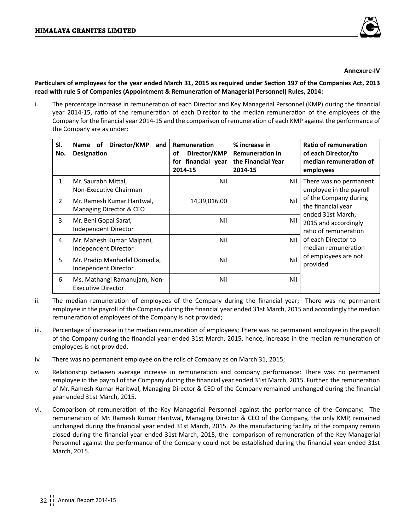

#### **Annexure-IV**

**Particulars of employees for the year ended March 31, 2015 as required under Section 197 of the Companies Act, 2013 read with rule 5 of Companies (Appointment & Remuneration of Managerial Personnel) Rules, 2014:** 

i. The percentage increase in remuneration of each Director and Key Managerial Personnel (KMP) during the financial year 2014-15, ratio of the remuneration of each Director to the median remuneration of the employees of the Company for the financial year 2014-15 and the comparison of remuneration of each KMP against the performance of the Company are as under:

| SI.<br>No. | Director/KMP<br>Name of<br>and<br><b>Designation</b>      | Remuneration<br>Director/KMP<br>οf<br>for financial year<br>2014-15 | % increase in<br><b>Remuneration in</b><br>the Financial Year<br>2014-15 | Ratio of remuneration<br>of each Director/to<br>median remuneration of<br>employees |
|------------|-----------------------------------------------------------|---------------------------------------------------------------------|--------------------------------------------------------------------------|-------------------------------------------------------------------------------------|
| 1.         | Mr. Saurabh Mittal,<br>Non-Executive Chairman             | Nil                                                                 | Nil                                                                      | There was no permanent<br>employee in the payroll                                   |
| 2.         | Mr. Ramesh Kumar Haritwal,<br>Managing Director & CEO     | 14,39,016.00                                                        | Nil                                                                      | of the Company during<br>the financial year<br>ended 31st March,                    |
| 3.         | Mr. Beni Gopal Saraf,<br>Independent Director             | Nil                                                                 | Nil                                                                      | 2015 and accordingly<br>ratio of remuneration                                       |
| 4.         | Mr. Mahesh Kumar Malpani,<br>Independent Director         | Nil                                                                 | Nil                                                                      | of each Director to<br>median remuneration                                          |
| 5.         | Mr. Pradip Manharlal Domadia,<br>Independent Director     | Nil                                                                 | Nil                                                                      | of employees are not<br>provided                                                    |
| 6.         | Ms. Mathangi Ramanujam, Non-<br><b>Executive Director</b> | Nil                                                                 | Nil                                                                      |                                                                                     |

- ii. The median remuneration of employees of the Company during the financial year; There was no permanent employee in the payroll of the Company during the financial year ended 31st March, 2015 and accordingly the median remuneration of employees of the Company is not provided;
- iii. Percentage of increase in the median remuneration of employees; There was no permanent employee in the payroll of the Company during the financial year ended 31st March, 2015, hence, increase in the median remuneration of employees is not provided.
- iv. There was no permanent employee on the rolls of Company as on March 31, 2015;
- v. Relationship between average increase in remuneration and company performance: There was no permanent employee in the payroll of the Company during the financial year ended 31st March, 2015. Further, the remuneration of Mr. Ramesh Kumar Haritwal, Managing Director & CEO of the Company remained unchanged during the financial year ended 31st March, 2015.
- vi. Comparison of remuneration of the Key Managerial Personnel against the performance of the Company: The remuneration of Mr. Ramesh Kumar Haritwal, Managing Director & CEO of the Company, the only KMP, remained unchanged during the financial year ended 31st March, 2015. As the manufacturing facility of the company remain closed during the financial year ended 31st March, 2015, the comparison of remuneration of the Key Managerial Personnel against the performance of the Company could not be established during the financial year ended 31st March, 2015.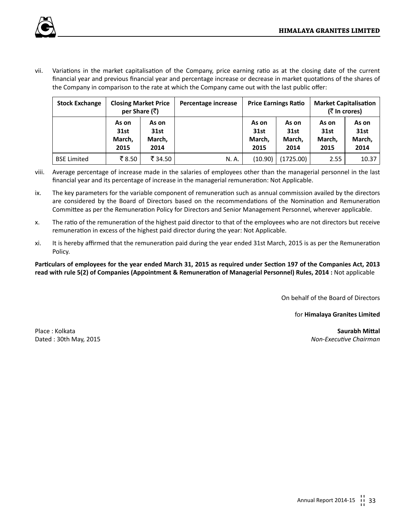

vii. Variations in the market capitalisation of the Company, price earning ratio as at the closing date of the current financial year and previous financial year and percentage increase or decrease in market quotations of the shares of the Company in comparison to the rate at which the Company came out with the last public offer:

| <b>Stock Exchange</b> | <b>Closing Market Price</b><br>per Share (₹) |                                 | Percentage increase |                                 | <b>Price Earnings Ratio</b>     | <b>Market Capitalisation</b><br>(₹ In crores) |                                 |
|-----------------------|----------------------------------------------|---------------------------------|---------------------|---------------------------------|---------------------------------|-----------------------------------------------|---------------------------------|
|                       | As on<br>31st<br>March,<br>2015              | As on<br>31st<br>March,<br>2014 |                     | As on<br>31st<br>March,<br>2015 | As on<br>31st<br>March.<br>2014 | As on<br>31st<br>March.<br>2015               | As on<br>31st<br>March,<br>2014 |
| <b>BSE Limited</b>    | ₹8.50                                        | ₹ 34.50                         | N. A.               | (10.90)                         | (1725.00)                       | 2.55                                          | 10.37                           |

- viii. Average percentage of increase made in the salaries of employees other than the managerial personnel in the last financial year and its percentage of increase in the managerial remuneration: Not Applicable.
- ix. The key parameters for the variable component of remuneration such as annual commission availed by the directors are considered by the Board of Directors based on the recommendations of the Nomination and Remuneration Committee as per the Remuneration Policy for Directors and Senior Management Personnel, wherever applicable.
- x. The ratio of the remuneration of the highest paid director to that of the employees who are not directors but receive remuneration in excess of the highest paid director during the year: Not Applicable.
- xi. It is hereby affirmed that the remuneration paid during the year ended 31st March, 2015 is as per the Remuneration Policy.

**Particulars of employees for the year ended March 31, 2015 as required under Section 197 of the Companies Act, 2013 read with rule 5(2) of Companies (Appointment & Remuneration of Managerial Personnel) Rules, 2014 :** Not applicable

On behalf of the Board of Directors

for **Himalaya Granites Limited**

Place : Kolkata **Saurabh Mittal**

Dated : 30th May, 2015 *Non-Executive Chairman*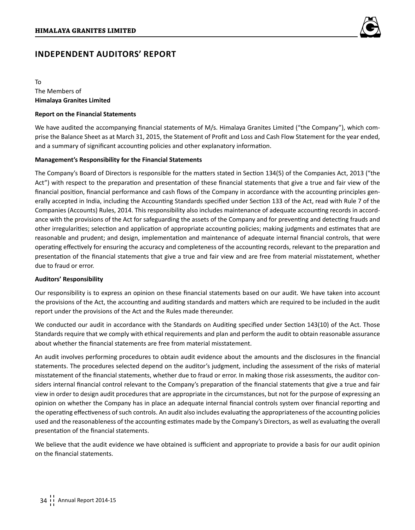

## **Independent Auditors' Report**

## To The Members of **Himalaya Granites Limited**

## **Report on the Financial Statements**

We have audited the accompanying financial statements of M/s. Himalaya Granites Limited ("the Company"), which comprise the Balance Sheet as at March 31, 2015, the Statement of Profit and Loss and Cash Flow Statement for the year ended, and a summary of significant accounting policies and other explanatory information.

## **Management's Responsibility for the Financial Statements**

The Company's Board of Directors is responsible for the matters stated in Section 134(5) of the Companies Act, 2013 ("the Act") with respect to the preparation and presentation of these financial statements that give a true and fair view of the financial position, financial performance and cash flows of the Company in accordance with the accounting principles generally accepted in India, including the Accounting Standards specified under Section 133 of the Act, read with Rule 7 of the Companies (Accounts) Rules, 2014. This responsibility also includes maintenance of adequate accounting records in accordance with the provisions of the Act for safeguarding the assets of the Company and for preventing and detecting frauds and other irregularities; selection and application of appropriate accounting policies; making judgments and estimates that are reasonable and prudent; and design, implementation and maintenance of adequate internal financial controls, that were operating effectively for ensuring the accuracy and completeness of the accounting records, relevant to the preparation and presentation of the financial statements that give a true and fair view and are free from material misstatement, whether due to fraud or error.

## **Auditors' Responsibility**

Our responsibility is to express an opinion on these financial statements based on our audit. We have taken into account the provisions of the Act, the accounting and auditing standards and matters which are required to be included in the audit report under the provisions of the Act and the Rules made thereunder.

We conducted our audit in accordance with the Standards on Auditing specified under Section 143(10) of the Act. Those Standards require that we comply with ethical requirements and plan and perform the audit to obtain reasonable assurance about whether the financial statements are free from material misstatement.

An audit involves performing procedures to obtain audit evidence about the amounts and the disclosures in the financial statements. The procedures selected depend on the auditor's judgment, including the assessment of the risks of material misstatement of the financial statements, whether due to fraud or error. In making those risk assessments, the auditor considers internal financial control relevant to the Company's preparation of the financial statements that give a true and fair view in order to design audit procedures that are appropriate in the circumstances, but not for the purpose of expressing an opinion on whether the Company has in place an adequate internal financial controls system over financial reporting and the operating effectiveness of such controls. An audit also includes evaluating the appropriateness of the accounting policies used and the reasonableness of the accounting estimates made by the Company's Directors, as well as evaluating the overall presentation of the financial statements.

We believe that the audit evidence we have obtained is sufficient and appropriate to provide a basis for our audit opinion on the financial statements.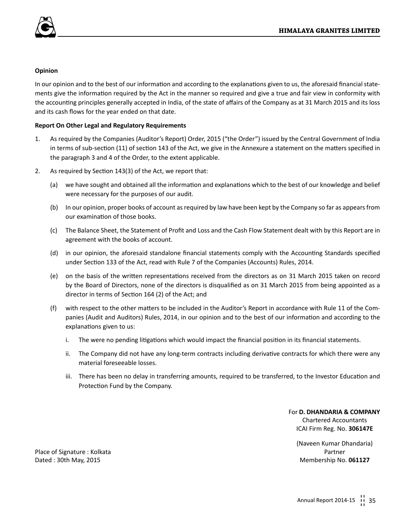

## **Opinion**

In our opinion and to the best of our information and according to the explanations given to us, the aforesaid financial statements give the information required by the Act in the manner so required and give a true and fair view in conformity with the accounting principles generally accepted in India, of the state of affairs of the Company as at 31 March 2015 and its loss and its cash flows for the year ended on that date.

## **Report On Other Legal and Regulatory Requirements**

- 1. As required by the Companies (Auditor's Report) Order, 2015 ("the Order") issued by the Central Government of India in terms of sub-section (11) of section 143 of the Act, we give in the Annexure a statement on the matters specified in the paragraph 3 and 4 of the Order, to the extent applicable.
- 2. As required by Section 143(3) of the Act, we report that:
	- (a) we have sought and obtained all the information and explanations which to the best of our knowledge and belief were necessary for the purposes of our audit.
	- (b) In our opinion, proper books of account as required by law have been kept by the Company so far as appears from our examination of those books.
	- (c) The Balance Sheet, the Statement of Profit and Loss and the Cash Flow Statement dealt with by this Report are in agreement with the books of account.
	- (d) in our opinion, the aforesaid standalone financial statements comply with the Accounting Standards specified under Section 133 of the Act, read with Rule 7 of the Companies (Accounts) Rules, 2014.
	- (e) on the basis of the written representations received from the directors as on 31 March 2015 taken on record by the Board of Directors, none of the directors is disqualified as on 31 March 2015 from being appointed as a director in terms of Section 164 (2) of the Act; and
	- (f) with respect to the other matters to be included in the Auditor's Report in accordance with Rule 11 of the Companies (Audit and Auditors) Rules, 2014, in our opinion and to the best of our information and according to the explanations given to us:
		- i. The were no pending litigations which would impact the financial position in its financial statements.
		- ii. The Company did not have any long-term contracts including derivative contracts for which there were any material foreseeable losses.
		- iii. There has been no delay in transferring amounts, required to be transferred, to the Investor Education and Protection Fund by the Company.

## For **D. DHANDARIA & COMPANY** Chartered Accountants ICAI Firm Reg. No. **306147E**

(Naveen Kumar Dhandaria)

Place of Signature : Kolkata **Partner** Partner **Partner** Partner **Partner** Partner **Partner** Dated : 30th May, 2015 Membership No. **061127**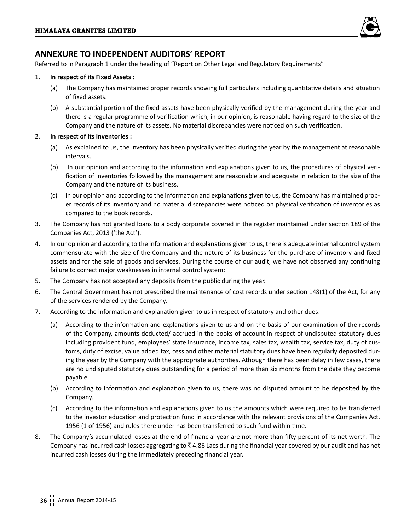

## **ANNEXURE TO INDEPENDENT AUDITORS' REPORT**

Referred to in Paragraph 1 under the heading of "Report on Other Legal and Regulatory Requirements"

## 1. **In respect of its Fixed Assets :**

- (a) The Company has maintained proper records showing full particulars including quantitative details and situation of fixed assets.
- (b) A substantial portion of the fixed assets have been physically verified by the management during the year and there is a regular programme of verification which, in our opinion, is reasonable having regard to the size of the Company and the nature of its assets. No material discrepancies were noticed on such verification.

## 2. **In respect of its Inventories :**

- (a) As explained to us, the inventory has been physically verified during the year by the management at reasonable intervals.
- (b) In our opinion and according to the information and explanations given to us, the procedures of physical verification of inventories followed by the management are reasonable and adequate in relation to the size of the Company and the nature of its business.
- (c) In our opinion and according to the information and explanations given to us, the Company has maintained proper records of its inventory and no material discrepancies were noticed on physical verification of inventories as compared to the book records.
- 3. The Company has not granted loans to a body corporate covered in the register maintained under section 189 of the Companies Act, 2013 ('the Act').
- 4. In our opinion and according to the information and explanations given to us, there is adequate internal control system commensurate with the size of the Company and the nature of its business for the purchase of inventory and fixed assets and for the sale of goods and services. During the course of our audit, we have not observed any continuing failure to correct major weaknesses in internal control system;
- 5. The Company has not accepted any deposits from the public during the year.
- 6. The Central Government has not prescribed the maintenance of cost records under section 148(1) of the Act, for any of the services rendered by the Company.
- 7. According to the information and explanation given to us in respect of statutory and other dues:
	- (a) According to the information and explanations given to us and on the basis of our examination of the records of the Company, amounts deducted/ accrued in the books of account in respect of undisputed statutory dues including provident fund, employees' state insurance, income tax, sales tax, wealth tax, service tax, duty of customs, duty of excise, value added tax, cess and other material statutory dues have been regularly deposited during the year by the Company with the appropriate authorities. Athough there has been delay in few cases, there are no undisputed statutory dues outstanding for a period of more than six months from the date they become payable.
	- (b) According to information and explanation given to us, there was no disputed amount to be deposited by the Company.
	- (c) According to the information and explanations given to us the amounts which were required to be transferred to the investor education and protection fund in accordance with the relevant provisions of the Companies Act, 1956 (1 of 1956) and rules there under has been transferred to such fund within time.
- 8. The Company's accumulated losses at the end of financial year are not more than fifty percent of its net worth. The Company has incurred cash losses aggregating to  $\bar{z}$  4.86 Lacs during the financial year covered by our audit and has not incurred cash losses during the immediately preceding financial year.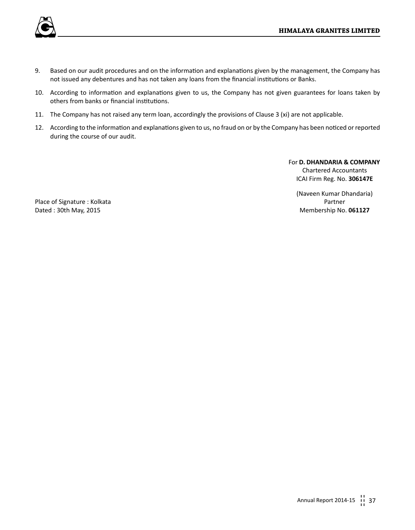

- 9. Based on our audit procedures and on the information and explanations given by the management, the Company has not issued any debentures and has not taken any loans from the financial institutions or Banks.
- 10. According to information and explanations given to us, the Company has not given guarantees for loans taken by others from banks or financial institutions.
- 11. The Company has not raised any term loan, accordingly the provisions of Clause 3 (xi) are not applicable.
- 12. According to the information and explanations given to us, no fraud on or by the Company has been noticed or reported during the course of our audit.

For **D. DHANDARIA & COMPANY** Chartered Accountants ICAI Firm Reg. No. **306147E**

(Naveen Kumar Dhandaria)

Place of Signature : Kolkata **Partner** Partner **Partner** Partner **Partner** Dated : 30th May, 2015 Membership No. **061127**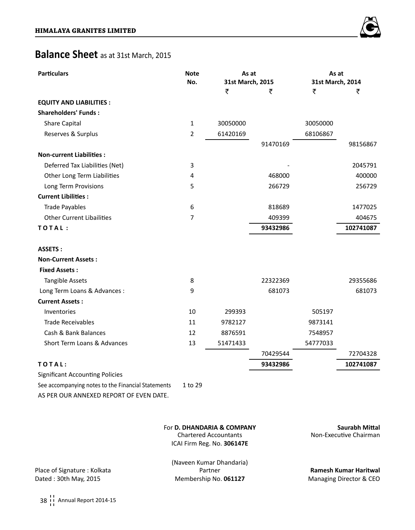# **Balance Sheet** as at 31st March, 2015

| <b>Particulars</b>                                 | <b>Note</b> | As at            |          | As at            |           |  |
|----------------------------------------------------|-------------|------------------|----------|------------------|-----------|--|
|                                                    | No.         | 31st March, 2015 |          | 31st March, 2014 |           |  |
|                                                    |             | ₹                | ₹        | ₹                | ₹         |  |
| <b>EQUITY AND LIABILITIES:</b>                     |             |                  |          |                  |           |  |
| <b>Shareholders' Funds:</b>                        |             |                  |          |                  |           |  |
| Share Capital                                      | 1           | 30050000         |          | 30050000         |           |  |
| Reserves & Surplus                                 | 2           | 61420169         |          | 68106867         |           |  |
|                                                    |             |                  | 91470169 |                  | 98156867  |  |
| <b>Non-current Liabilities:</b>                    |             |                  |          |                  |           |  |
| Deferred Tax Liabilities (Net)                     | 3           |                  |          |                  | 2045791   |  |
| Other Long Term Liabilities                        | 4           |                  | 468000   |                  | 400000    |  |
| Long Term Provisions                               | 5           |                  | 266729   |                  | 256729    |  |
| <b>Current Libilities:</b>                         |             |                  |          |                  |           |  |
| <b>Trade Payables</b>                              | 6           |                  | 818689   |                  | 1477025   |  |
| <b>Other Current Libailities</b>                   | 7           |                  | 409399   |                  | 404675    |  |
| TOTAL:                                             |             |                  | 93432986 |                  | 102741087 |  |
| <b>ASSETS:</b>                                     |             |                  |          |                  |           |  |
| <b>Non-Current Assets:</b>                         |             |                  |          |                  |           |  |
| <b>Fixed Assets:</b>                               |             |                  |          |                  |           |  |
| <b>Tangible Assets</b>                             | 8           |                  | 22322369 |                  | 29355686  |  |
| Long Term Loans & Advances :                       | 9           |                  | 681073   |                  | 681073    |  |
| <b>Current Assets:</b>                             |             |                  |          |                  |           |  |
| Inventories                                        | 10          | 299393           |          | 505197           |           |  |
| <b>Trade Receivables</b>                           | 11          | 9782127          |          | 9873141          |           |  |
| Cash & Bank Balances                               | 12          | 8876591          |          | 7548957          |           |  |
| Short Term Loans & Advances                        | 13          | 51471433         |          | 54777033         |           |  |
|                                                    |             |                  | 70429544 |                  | 72704328  |  |
| TOTAL:                                             |             |                  | 93432986 |                  | 102741087 |  |
| <b>Significant Accounting Policies</b>             |             |                  |          |                  |           |  |
| See accompanying notes to the Financial Statements | 1 to 29     |                  |          |                  |           |  |
| AS PER OUR ANNEXED REPORT OF EVEN DATE.            |             |                  |          |                  |           |  |

## For **D. DHANDARIA & COMPANY Saurabh Mittal** Chartered Accountants

ICAI Firm Reg. No. **306147E**

Place of Signature : Kolkata Partner **Ramesh Kumar Haritwal**

(Naveen Kumar Dhandaria)

Dated : 30th May, 2015 Membership No. **061127** Managing Director & CEO

38 | Annual Report 2014-15

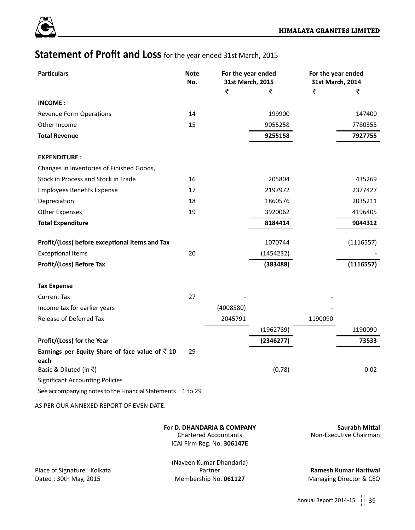

# **Statement of Profit and Loss** for the year ended 31st March, 2015

| <b>Particulars</b>                                         | <b>Note</b><br>No. | For the year ended<br>31st March, 2015 |           | For the year ended<br>31st March, 2014 |           |  |
|------------------------------------------------------------|--------------------|----------------------------------------|-----------|----------------------------------------|-----------|--|
|                                                            |                    | ₹                                      | ₹         | ₹                                      | ₹         |  |
| <b>INCOME:</b>                                             |                    |                                        |           |                                        |           |  |
| Revenue Form Operations                                    | 14                 |                                        | 199900    |                                        | 147400    |  |
| Other Income                                               | 15                 |                                        | 9055258   |                                        | 7780355   |  |
| <b>Total Revenue</b>                                       |                    |                                        | 9255158   |                                        | 7927755   |  |
|                                                            |                    |                                        |           |                                        |           |  |
| <b>EXPENDITURE:</b>                                        |                    |                                        |           |                                        |           |  |
| Changes in Inventories of Finished Goods,                  |                    |                                        |           |                                        |           |  |
| Stock in Process and Stock in Trade                        | 16                 |                                        | 205804    |                                        | 435269    |  |
| <b>Employees Benefits Expense</b>                          | 17                 |                                        | 2197972   |                                        | 2377427   |  |
| Depreciation                                               | 18                 |                                        | 1860576   |                                        | 2035211   |  |
| <b>Other Expenses</b>                                      | 19                 |                                        | 3920062   |                                        | 4196405   |  |
| <b>Total Expenditure</b>                                   |                    |                                        | 8184414   |                                        | 9044312   |  |
| Profit/(Loss) before exceptional items and Tax             |                    |                                        | 1070744   |                                        | (1116557) |  |
| <b>Exceptional Items</b>                                   | 20                 |                                        | (1454232) |                                        |           |  |
| Profit/(Loss) Before Tax                                   |                    |                                        | (383488)  |                                        | (1116557) |  |
|                                                            |                    |                                        |           |                                        |           |  |
| <b>Tax Expense</b>                                         |                    |                                        |           |                                        |           |  |
| <b>Current Tax</b>                                         | 27                 |                                        |           |                                        |           |  |
| Income tax for earlier years                               |                    | (4008580)                              |           |                                        |           |  |
| Release of Deferred Tax                                    |                    | 2045791                                |           | 1190090                                |           |  |
|                                                            |                    |                                        | (1962789) |                                        | 1190090   |  |
| Profit/(Loss) for the Year                                 |                    |                                        | (2346277) |                                        | 73533     |  |
| Earnings per Equity Share of face value of $\bar{z}$ 10    | 29                 |                                        |           |                                        |           |  |
| each<br>Basic & Diluted (in ₹)                             |                    |                                        | (0.78)    |                                        | 0.02      |  |
| <b>Significant Accounting Policies</b>                     |                    |                                        |           |                                        |           |  |
| See accompanying notes to the Financial Statements 1 to 29 |                    |                                        |           |                                        |           |  |
|                                                            |                    |                                        |           |                                        |           |  |
| AS PER OUR ANNEXED REPORT OF EVEN DATE.                    |                    |                                        |           |                                        |           |  |

|                             | <b>Chartered Accountants</b> | Non-Executive Chairman  |
|-----------------------------|------------------------------|-------------------------|
|                             | ICAI Firm Reg. No. 306147E   |                         |
|                             | (Naveen Kumar Dhandaria)     |                         |
| Place of Signature: Kolkata | Partner                      | Ramesh Kumar Haritwal   |
| Dated: 30th May, 2015       | Membership No. 061127        | Managing Director & CEO |

For **D. DHANDARIA & COMPANY Saurabh Mittal**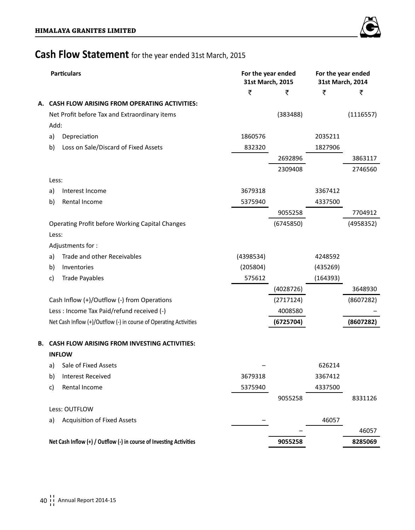

# **Cash Flow Statement** for the year ended 31st March, 2015

|    |       | <b>Particulars</b>                                                  | For the year ended<br>31st March, 2015 |           | For the year ended<br>31st March, 2014 |           |  |
|----|-------|---------------------------------------------------------------------|----------------------------------------|-----------|----------------------------------------|-----------|--|
|    |       |                                                                     | ₹                                      | ₹         | ₹                                      | ₹         |  |
|    |       | A. CASH FLOW ARISING FROM OPERATING ACTIVITIES:                     |                                        |           |                                        |           |  |
|    |       | Net Profit before Tax and Extraordinary items                       |                                        | (383488)  |                                        | (1116557) |  |
|    | Add:  |                                                                     |                                        |           |                                        |           |  |
|    | a)    | Depreciation                                                        | 1860576                                |           | 2035211                                |           |  |
|    | b)    | Loss on Sale/Discard of Fixed Assets                                | 832320                                 |           | 1827906                                |           |  |
|    |       |                                                                     |                                        | 2692896   |                                        | 3863117   |  |
|    |       |                                                                     |                                        | 2309408   |                                        | 2746560   |  |
|    | Less: |                                                                     |                                        |           |                                        |           |  |
|    | a)    | Interest Income                                                     | 3679318                                |           | 3367412                                |           |  |
|    | b)    | Rental Income                                                       | 5375940                                |           | 4337500                                |           |  |
|    |       |                                                                     |                                        | 9055258   |                                        | 7704912   |  |
|    |       | Operating Profit before Working Capital Changes                     |                                        | (6745850) |                                        | (4958352) |  |
|    | Less: |                                                                     |                                        |           |                                        |           |  |
|    |       | Adjustments for:                                                    |                                        |           |                                        |           |  |
|    | a)    | Trade and other Receivables                                         | (4398534)                              |           | 4248592                                |           |  |
|    | b)    | Inventories                                                         | (205804)                               |           | (435269)                               |           |  |
|    | C)    | <b>Trade Payables</b>                                               | 575612                                 |           | (164393)                               |           |  |
|    |       |                                                                     |                                        | (4028726) |                                        | 3648930   |  |
|    |       | Cash Inflow (+)/Outflow (-) from Operations                         |                                        | (2717124) |                                        | (8607282) |  |
|    |       | Less : Income Tax Paid/refund received (-)                          |                                        | 4008580   |                                        |           |  |
|    |       | Net Cash Inflow (+)/Outflow (-) in course of Operating Activities   |                                        | (6725704) |                                        | (8607282) |  |
| В. |       | <b>CASH FLOW ARISING FROM INVESTING ACTIVITIES:</b>                 |                                        |           |                                        |           |  |
|    |       | <b>INFLOW</b>                                                       |                                        |           |                                        |           |  |
|    | a)    | Sale of Fixed Assets                                                |                                        |           | 626214                                 |           |  |
|    | b)    | <b>Interest Received</b>                                            | 3679318                                |           | 3367412                                |           |  |
|    | C)    | Rental Income                                                       | 5375940                                |           | 4337500                                |           |  |
|    |       |                                                                     |                                        | 9055258   |                                        | 8331126   |  |
|    |       | Less: OUTFLOW                                                       |                                        |           |                                        |           |  |
|    | a)    | <b>Acquisition of Fixed Assets</b>                                  |                                        |           | 46057                                  |           |  |
|    |       |                                                                     |                                        |           |                                        | 46057     |  |
|    |       | Net Cash Inflow (+) / Outflow (-) in course of Investing Activities |                                        | 9055258   |                                        | 8285069   |  |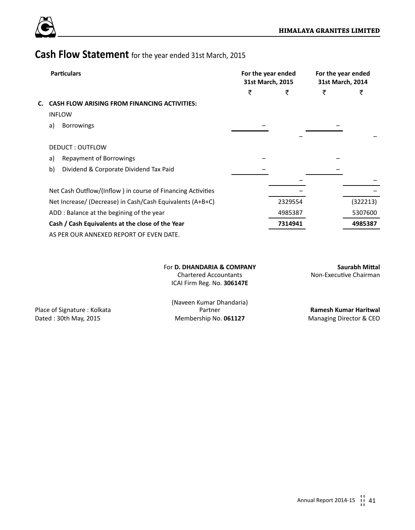

# **Cash Flow Statement** for the year ended 31st March, 2015

|    | <b>Particulars</b>                                          | For the year ended<br>31st March, 2015 |         | For the year ended<br>31st March, 2014 |          |
|----|-------------------------------------------------------------|----------------------------------------|---------|----------------------------------------|----------|
|    |                                                             | ₹                                      | ₹       | ₹                                      | ₹        |
| С. | <b>CASH FLOW ARISING FROM FINANCING ACTIVITIES:</b>         |                                        |         |                                        |          |
|    | <b>INFLOW</b>                                               |                                        |         |                                        |          |
|    | <b>Borrowings</b><br>a)                                     |                                        |         |                                        |          |
|    |                                                             |                                        |         |                                        |          |
|    | DEDUCT: OUTFLOW                                             |                                        |         |                                        |          |
|    | Repayment of Borrowings<br>a)                               |                                        |         |                                        |          |
|    | b)<br>Dividend & Corporate Dividend Tax Paid                |                                        |         |                                        |          |
|    |                                                             |                                        |         |                                        |          |
|    | Net Cash Outflow/(Inflow) in course of Financing Activities |                                        |         |                                        |          |
|    | Net Increase/ (Decrease) in Cash/Cash Equivalents (A+B+C)   |                                        | 2329554 |                                        | (322213) |
|    | ADD: Balance at the begining of the year                    |                                        | 4985387 |                                        | 5307600  |
|    | Cash / Cash Equivalents at the close of the Year            |                                        | 7314941 |                                        | 4985387  |
|    | AS PER OUR ANNEXED REPORT OF EVEN DATE.                     |                                        |         |                                        |          |

For **D. DHANDARIA & COMPANY Saurabh Mittal** ICAI Firm Reg. No. **306147E**

Non-Executive Chairman

(Naveen Kumar Dhandaria) Place of Signature : Kolkata Partner **Ramesh Kumar Haritwal** Dated : 30th May, 2015 Membership No. **061127** Managing Director & CEO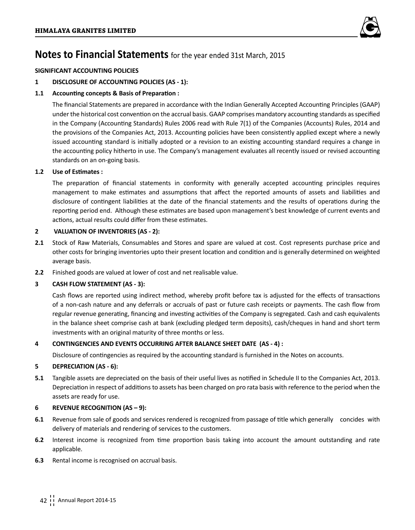

## **SIGNIFICANT ACCOUNTING POLICIES**

## **1 DISCLOSURE OF ACCOUNTING POLICIES (AS - 1):**

## **1.1 Accounting concepts & Basis of Preparation :**

The financial Statements are prepared in accordance with the Indian Generally Accepted Accounting Principles (GAAP) under the historical cost convention on the accrual basis. GAAP comprises mandatory accounting standards as specified in the Company (Accounting Standards) Rules 2006 read with Rule 7(1) of the Companies (Accounts) Rules, 2014 and the provisions of the Companies Act, 2013. Accounting policies have been consistently applied except where a newly issued accounting standard is initially adopted or a revision to an existing accounting standard requires a change in the accounting policy hitherto in use. The Company's management evaluates all recently issued or revised accounting standards on an on-going basis.

## **1.2 Use of Estimates :**

The preparation of financial statements in conformity with generally accepted accounting principles requires management to make estimates and assumptions that affect the reported amounts of assets and liabilities and disclosure of contingent liabilities at the date of the financial statements and the results of operations during the reporting period end. Although these estimates are based upon management's best knowledge of current events and actions, actual results could differ from these estimates.

## **2 VALUATION OF INVENTORIES (AS - 2):**

- **2.1** Stock of Raw Materials, Consumables and Stores and spare are valued at cost. Cost represents purchase price and other costs for bringing inventories upto their present location and condition and is generally determined on weighted average basis.
- **2.2** Finished goods are valued at lower of cost and net realisable value.

## **3 CASH FLOW STATEMENT (AS - 3):**

Cash flows are reported using indirect method, whereby profit before tax is adjusted for the effects of transactions of a non-cash nature and any deferrals or accruals of past or future cash receipts or payments. The cash flow from regular revenue generating, financing and investing activities of the Company is segregated. Cash and cash equivalents in the balance sheet comprise cash at bank (excluding pledged term deposits), cash/cheques in hand and short term investments with an original maturity of three months or less.

## **4 CONTINGENCIES AND EVENTS OCCURRING AFTER BALANCE SHEET DATE (AS - 4) :**

Disclosure of contingencies as required by the accounting standard is furnished in the Notes on accounts.

## **5 DEPRECIATION (AS - 6):**

**5.1** Tangible assets are depreciated on the basis of their useful lives as notified in Schedule II to the Companies Act, 2013. Depreciation in respect of additions to assets has been charged on pro rata basis with reference to the period when the assets are ready for use.

## **6 REVENUE RECOGNITION (AS – 9):**

- **6.1** Revenue from sale of goods and services rendered is recognized from passage of title which generally concides with delivery of materials and rendering of services to the customers.
- **6.2** Interest income is recognized from time proportion basis taking into account the amount outstanding and rate applicable.
- **6.3** Rental income is recognised on accrual basis.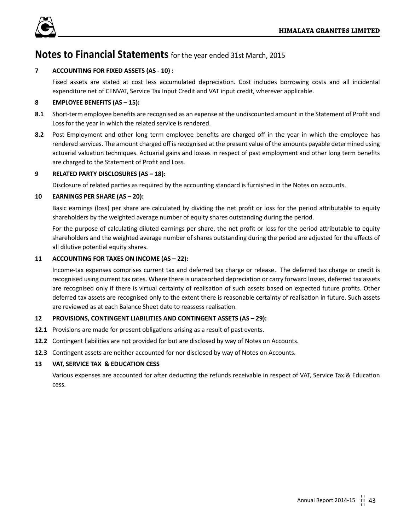

## **7 ACCOUNTING FOR FIXED ASSETS (AS - 10) :**

Fixed assets are stated at cost less accumulated depreciation. Cost includes borrowing costs and all incidental expenditure net of CENVAT, Service Tax Input Credit and VAT input credit, wherever applicable.

## **8 EMPLOYEE BENEFITS (AS – 15):**

- **8.1** Short-term employee benefits are recognised as an expense at the undiscounted amount in the Statement of Profit and Loss for the year in which the related service is rendered.
- **8.2** Post Employment and other long term employee benefits are charged off in the year in which the employee has rendered services. The amount charged off is recognised at the present value of the amounts payable determined using actuarial valuation techniques. Actuarial gains and losses in respect of past employment and other long term benefits are charged to the Statement of Profit and Loss.

## **9 RELATED PARTY DISCLOSURES (AS – 18):**

Disclosure of related parties as required by the accounting standard is furnished in the Notes on accounts.

## **10 EARNINGS PER SHARE (AS – 20):**

Basic earnings (loss) per share are calculated by dividing the net profit or loss for the period attributable to equity shareholders by the weighted average number of equity shares outstanding during the period.

For the purpose of calculating diluted earnings per share, the net profit or loss for the period attributable to equity shareholders and the weighted average number of shares outstanding during the period are adjusted for the effects of all dilutive potential equity shares.

## **11 ACCOUNTING FOR TAXES ON INCOME (AS – 22):**

Income-tax expenses comprises current tax and deferred tax charge or release. The deferred tax charge or credit is recognised using current tax rates. Where there is unabsorbed depreciation or carry forward losses, deferred tax assets are recognised only if there is virtual certainty of realisation of such assets based on expected future profits. Other deferred tax assets are recognised only to the extent there is reasonable certainty of realisation in future. Such assets are reviewed as at each Balance Sheet date to reassess realisation.

## **12 PROVISIONS, CONTINGENT LIABILITIES AND CONTINGENT ASSETS (AS – 29):**

- **12.1** Provisions are made for present obligations arising as a result of past events.
- **12.2** Contingent liabilities are not provided for but are disclosed by way of Notes on Accounts.
- **12.3** Contingent assets are neither accounted for nor disclosed by way of Notes on Accounts.

## **13 VAT, SERVICE TAX & EDUCATION CESS**

Various expenses are accounted for after deducting the refunds receivable in respect of VAT, Service Tax & Education cess.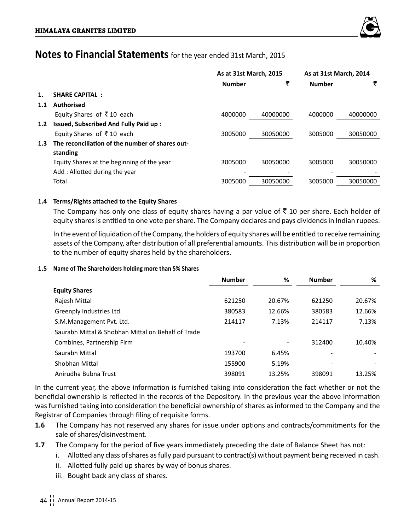

|                                                 | As at 31st March, 2015 |          | As at 31st March, 2014 |          |
|-------------------------------------------------|------------------------|----------|------------------------|----------|
|                                                 | <b>Number</b>          | ₹        | <b>Number</b>          | ₹        |
| <b>SHARE CAPITAL:</b>                           |                        |          |                        |          |
| <b>Authorised</b>                               |                        |          |                        |          |
| Equity Shares of ₹10 each                       | 4000000                | 40000000 | 4000000                | 40000000 |
| Issued, Subscribed And Fully Paid up:           |                        |          |                        |          |
| Equity Shares of ₹10 each                       | 3005000                | 30050000 | 3005000                | 30050000 |
| The reconciliation of the number of shares out- |                        |          |                        |          |
| standing                                        |                        |          |                        |          |
| Equity Shares at the beginning of the year      | 3005000                | 30050000 | 3005000                | 30050000 |
| Add: Allotted during the year                   |                        |          |                        |          |
| Total                                           | 3005000                | 30050000 | 3005000                | 30050000 |
|                                                 |                        |          |                        |          |

## **1.4 Terms/Rights attached to the Equity Shares**

The Company has only one class of equity shares having a par value of  $\bar{\tau}$  10 per share. Each holder of equity shares is entitled to one vote per share. The Company declares and pays dividends in Indian rupees.

In the event of liquidation of the Company, the holders of equity shares will be entitled to receive remaining assets of the Company, after distribution of all preferential amounts. This distribution will be in proportion to the number of equity shares held by the shareholders.

## **1.5 Name of The Shareholders holding more than 5% Shares**

|                                                    | <b>Number</b> | %      | <b>Number</b> | %      |
|----------------------------------------------------|---------------|--------|---------------|--------|
| <b>Equity Shares</b>                               |               |        |               |        |
| Rajesh Mittal                                      | 621250        | 20.67% | 621250        | 20.67% |
| Greenply Industries Ltd.                           | 380583        | 12.66% | 380583        | 12.66% |
| S.M.Management Pvt. Ltd.                           | 214117        | 7.13%  | 214117        | 7.13%  |
| Saurabh Mittal & Shobhan Mittal on Behalf of Trade |               |        |               |        |
| Combines, Partnership Firm                         |               |        | 312400        | 10.40% |
| Saurabh Mittal                                     | 193700        | 6.45%  |               |        |
| Shobhan Mittal                                     | 155900        | 5.19%  |               |        |
| Anirudha Bubna Trust                               | 398091        | 13.25% | 398091        | 13.25% |

In the current year, the above information is furnished taking into consideration the fact whether or not the beneficial ownership is reflected in the records of the Depository. In the previous year the above information was furnished taking into consideration the beneficial ownership of shares as informed to the Company and the Registrar of Companies through filing of requisite forms.

- **1.6** The Company has not reserved any shares for issue under options and contracts/commitments for the sale of shares/disinvestment.
- **1.7** The Company for the period of five years immediately preceding the date of Balance Sheet has not:
	- i. Allotted any class of shares as fully paid pursuant to contract(s) without payment being received in cash.
	- ii. Allotted fully paid up shares by way of bonus shares.
	- iii. Bought back any class of shares.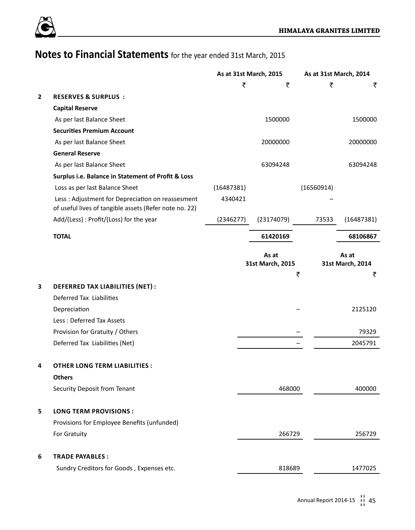

|              |                                                                                                            | As at 31st March, 2015 |   | As at 31st March, 2014    |            |                                |
|--------------|------------------------------------------------------------------------------------------------------------|------------------------|---|---------------------------|------------|--------------------------------|
|              |                                                                                                            |                        | ₹ | ₹                         | ₹          | ₹                              |
| $\mathbf{2}$ | <b>RESERVES &amp; SURPLUS:</b>                                                                             |                        |   |                           |            |                                |
|              | <b>Capital Reserve</b>                                                                                     |                        |   |                           |            |                                |
|              | As per last Balance Sheet                                                                                  |                        |   | 1500000                   |            | 1500000                        |
|              | <b>Securities Premium Account</b>                                                                          |                        |   |                           |            |                                |
|              | As per last Balance Sheet                                                                                  |                        |   | 20000000                  |            | 20000000                       |
|              | <b>General Reserve</b>                                                                                     |                        |   |                           |            |                                |
|              | As per last Balance Sheet                                                                                  |                        |   | 63094248                  |            | 63094248                       |
|              | Surplus i.e. Balance in Statement of Profit & Loss                                                         |                        |   |                           |            |                                |
|              | Loss as per last Balance Sheet                                                                             | (16487381)             |   |                           | (16560914) |                                |
|              | Less: Adjustment for Depreciation on reassesment<br>of useful lives of tangible assets (Refer note no. 22) | 4340421                |   |                           |            |                                |
|              | Add/(Less): Profit/(Loss) for the year                                                                     | (2346277)              |   | (23174079)                | 73533      | (16487381)                     |
|              | <b>TOTAL</b>                                                                                               |                        |   | 61420169                  |            | 68106867                       |
|              |                                                                                                            |                        |   | As at<br>31st March, 2015 | ₹          | As at<br>31st March, 2014<br>₹ |
| 3            | DEFERRED TAX LIABILITIES (NET) :                                                                           |                        |   |                           |            |                                |
|              | Deferred Tax Liabilities                                                                                   |                        |   |                           |            |                                |
|              | Depreciation                                                                                               |                        |   |                           |            | 2125120                        |
|              | Less: Deferred Tax Assets                                                                                  |                        |   |                           |            |                                |
|              | Provision for Gratuity / Others                                                                            |                        |   |                           |            | 79329                          |
|              | Deferred Tax Liabilities (Net)                                                                             |                        |   |                           |            | 2045791                        |
| 4            | <b>OTHER LONG TERM LIABILITIES:</b>                                                                        |                        |   |                           |            |                                |
|              | <b>Others</b>                                                                                              |                        |   |                           |            |                                |
|              | Security Deposit from Tenant                                                                               |                        |   | 468000                    |            | 400000                         |
| 5            | <b>LONG TERM PROVISIONS:</b>                                                                               |                        |   |                           |            |                                |
|              | Provisions for Employee Benefits (unfunded)                                                                |                        |   |                           |            |                                |
|              | For Gratuity                                                                                               |                        |   | 266729                    |            | 256729                         |
| 6            | <b>TRADE PAYABLES:</b>                                                                                     |                        |   |                           |            |                                |
|              | Sundry Creditors for Goods, Expenses etc.                                                                  |                        |   | 818689                    |            | 1477025                        |
|              |                                                                                                            |                        |   |                           |            |                                |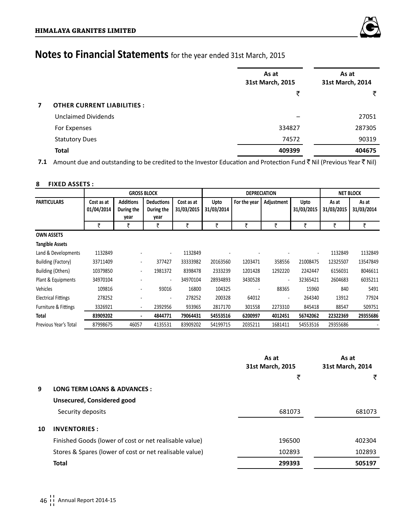

|   |                                   | As at<br>31st March, 2015 | As at<br>31st March, 2014 |  |  |
|---|-----------------------------------|---------------------------|---------------------------|--|--|
|   |                                   | ₹                         | ₹                         |  |  |
| 7 | <b>OTHER CURRENT LIABILITIES:</b> |                           |                           |  |  |
|   | <b>Unclaimed Dividends</b>        |                           | 27051                     |  |  |
|   | For Expenses                      | 334827                    | 287305                    |  |  |
|   | <b>Statutory Dues</b>             | 74572                     | 90319                     |  |  |
|   | <b>Total</b>                      | 409399                    | 404675                    |  |  |

**7.1** Amount due and outstanding to be credited to the Investor Education and Protection Fund ₹ Nil (Previous Year ₹ Nil)

## **8 FIXED ASSETS :**

|                            |                          |                                | <b>GROSS BLOCK</b>              |                          |                    | <b>DEPRECIATION</b> | <b>NET BLOCK</b> |                          |                     |                     |
|----------------------------|--------------------------|--------------------------------|---------------------------------|--------------------------|--------------------|---------------------|------------------|--------------------------|---------------------|---------------------|
| <b>PARTICULARS</b>         | Cost as at<br>01/04/2014 | <b>Additions</b><br>During the | <b>Deductions</b><br>During the | Cost as at<br>31/03/2015 | Upto<br>31/03/2014 | For the year        | Adjustment       | Upto<br>31/03/2015       | As at<br>31/03/2015 | As at<br>31/03/2014 |
|                            |                          | year                           | year                            |                          |                    |                     |                  |                          |                     |                     |
|                            | ₹                        | ₹                              | ₹                               | ₹                        | ₹                  | ₹                   | ₹                | ₹                        | ₹                   | ₹                   |
| <b>OWN ASSETS</b>          |                          |                                |                                 |                          |                    |                     |                  |                          |                     |                     |
| <b>Tangible Assets</b>     |                          |                                |                                 |                          |                    |                     |                  |                          |                     |                     |
| Land & Developments        | 1132849                  |                                | $\overline{\phantom{a}}$        | 1132849                  |                    |                     |                  | $\overline{\phantom{a}}$ | 1132849             | 1132849             |
| <b>Building (Factory)</b>  | 33711409                 |                                | 377427                          | 33333982                 | 20163560           | 1203471             | 358556           | 21008475                 | 12325507            | 13547849            |
| <b>Building (Others)</b>   | 10379850                 | $\overline{\phantom{a}}$       | 1981372                         | 8398478                  | 2333239            | 1201428             | 1292220          | 2242447                  | 6156031             | 8046611             |
| Plant & Equipments         | 34970104                 |                                | $\blacksquare$                  | 34970104                 | 28934893           | 3430528             | $\overline{a}$   | 32365421                 | 2604683             | 6035211             |
| Vehicles                   | 109816                   |                                | 93016                           | 16800                    | 104325             |                     | 88365            | 15960                    | 840                 | 5491                |
| <b>Electrical Fittings</b> | 278252                   |                                |                                 | 278252                   | 200328             | 64012               |                  | 264340                   | 13912               | 77924               |
| Furniture & Fittings       | 3326921                  | ٠                              | 2392956                         | 933965                   | 2817170            | 301558              | 2273310          | 845418                   | 88547               | 509751              |
| <b>Total</b>               | 83909202                 | ٠                              | 4844771                         | 79064431                 | 54553516           | 6200997             | 4012451          | 56742062                 | 22322369            | 29355686            |
| Previous Year's Total      | 87998675                 | 46057                          | 4135531                         | 83909202                 | 54199715           | 2035211             | 1681411          | 54553516                 | 29355686            |                     |

|    |                                                         | As at<br>31st March, 2015 | As at<br>31st March, 2014 |
|----|---------------------------------------------------------|---------------------------|---------------------------|
|    |                                                         | ₹                         | ₹                         |
| 9  | <b>LONG TERM LOANS &amp; ADVANCES:</b>                  |                           |                           |
|    | Unsecured, Considered good                              |                           |                           |
|    | Security deposits                                       | 681073                    | 681073                    |
| 10 | <b>INVENTORIES:</b>                                     |                           |                           |
|    | Finished Goods (lower of cost or net realisable value)  | 196500                    | 402304                    |
|    | Stores & Spares (lower of cost or net realisable value) | 102893                    | 102893                    |
|    | Total                                                   | 299393                    | 505197                    |
|    |                                                         |                           |                           |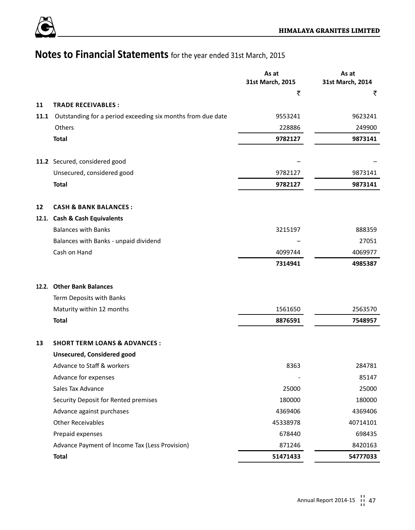

|      |                                                             | As at<br>31st March, 2015 | As at<br>31st March, 2014 |
|------|-------------------------------------------------------------|---------------------------|---------------------------|
|      |                                                             | ₹                         | ₹                         |
| 11   | <b>TRADE RECEIVABLES:</b>                                   |                           |                           |
| 11.1 | Outstanding for a period exceeding six months from due date | 9553241                   | 9623241                   |
|      | Others                                                      | 228886                    | 249900                    |
|      | <b>Total</b>                                                | 9782127                   | 9873141                   |
|      |                                                             |                           |                           |
|      | 11.2 Secured, considered good                               |                           |                           |
|      | Unsecured, considered good                                  | 9782127                   | 9873141                   |
|      | Total                                                       | 9782127                   | 9873141                   |
| 12   | <b>CASH &amp; BANK BALANCES:</b>                            |                           |                           |
|      | 12.1. Cash & Cash Equivalents                               |                           |                           |
|      | <b>Balances with Banks</b>                                  | 3215197                   | 888359                    |
|      | Balances with Banks - unpaid dividend                       |                           | 27051                     |
|      | Cash on Hand                                                | 4099744                   | 4069977                   |
|      |                                                             | 7314941                   | 4985387                   |
|      |                                                             |                           |                           |
|      | 12.2. Other Bank Balances                                   |                           |                           |
|      | Term Deposits with Banks                                    |                           |                           |
|      | Maturity within 12 months                                   | 1561650                   | 2563570                   |
|      | <b>Total</b>                                                | 8876591                   | 7548957                   |
| 13   | <b>SHORT TERM LOANS &amp; ADVANCES:</b>                     |                           |                           |
|      | Unsecured, Considered good                                  |                           |                           |
|      | Advance to Staff & workers                                  | 8363                      | 284781                    |
|      | Advance for expenses                                        |                           | 85147                     |
|      | Sales Tax Advance                                           | 25000                     | 25000                     |
|      | Security Deposit for Rented premises                        | 180000                    | 180000                    |
|      | Advance against purchases                                   | 4369406                   | 4369406                   |
|      | <b>Other Receivables</b>                                    | 45338978                  | 40714101                  |
|      | Prepaid expenses                                            | 678440                    | 698435                    |
|      | Advance Payment of Income Tax (Less Provision)              | 871246                    | 8420163                   |
|      | Total                                                       | 51471433                  | 54777033                  |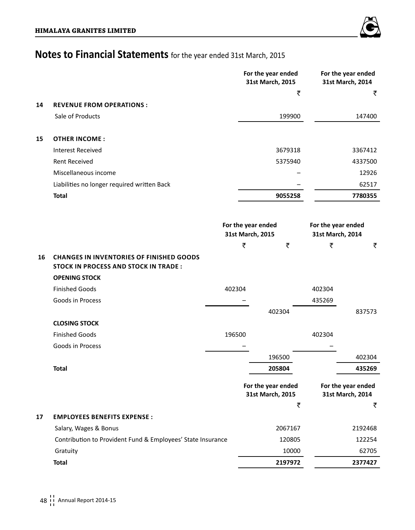|    |                                                                                                |        |   | For the year ended<br>31st March, 2015 |                                        | For the year ended<br>31st March, 2014 |
|----|------------------------------------------------------------------------------------------------|--------|---|----------------------------------------|----------------------------------------|----------------------------------------|
|    |                                                                                                |        |   | ₹                                      |                                        | ₹                                      |
| 14 | <b>REVENUE FROM OPERATIONS:</b>                                                                |        |   |                                        |                                        |                                        |
|    | Sale of Products                                                                               |        |   | 199900                                 |                                        | 147400                                 |
| 15 | <b>OTHER INCOME:</b>                                                                           |        |   |                                        |                                        |                                        |
|    | <b>Interest Received</b>                                                                       |        |   | 3679318                                |                                        | 3367412                                |
|    | Rent Received                                                                                  |        |   | 5375940                                |                                        | 4337500                                |
|    | Miscellaneous income                                                                           |        |   |                                        |                                        | 12926                                  |
|    | Liabilities no longer required written Back                                                    |        |   |                                        |                                        | 62517                                  |
|    | <b>Total</b>                                                                                   |        |   | 9055258                                |                                        | 7780355                                |
|    |                                                                                                |        |   |                                        |                                        |                                        |
|    |                                                                                                |        |   | For the year ended<br>31st March, 2015 | For the year ended<br>31st March, 2014 |                                        |
|    |                                                                                                |        | ₹ | ₹                                      | ₹                                      | ₹                                      |
| 16 | <b>CHANGES IN INVENTORIES OF FINISHED GOODS</b><br><b>STOCK IN PROCESS AND STOCK IN TRADE:</b> |        |   |                                        |                                        |                                        |
|    | <b>OPENING STOCK</b>                                                                           |        |   |                                        |                                        |                                        |
|    | <b>Finished Goods</b>                                                                          | 402304 |   |                                        | 402304                                 |                                        |
|    | Goods in Process                                                                               |        |   |                                        | 435269                                 |                                        |
|    |                                                                                                |        |   | 402304                                 |                                        | 837573                                 |
|    | <b>CLOSING STOCK</b>                                                                           |        |   |                                        |                                        |                                        |
|    | <b>Finished Goods</b>                                                                          | 196500 |   |                                        | 402304                                 |                                        |
|    | Goods in Process                                                                               |        |   |                                        |                                        |                                        |
|    |                                                                                                |        |   | 196500                                 |                                        | 402304                                 |
|    | <b>Total</b>                                                                                   |        |   | 205804                                 |                                        | 435269                                 |
|    |                                                                                                |        |   | For the year ended<br>31st March, 2015 |                                        | For the year ended<br>31st March, 2014 |
|    |                                                                                                |        |   | ₹                                      |                                        | ₹                                      |
| 17 | <b>EMPLOYEES BENEFITS EXPENSE:</b>                                                             |        |   |                                        |                                        |                                        |
|    | Salary, Wages & Bonus                                                                          |        |   | 2067167                                |                                        | 2192468                                |
|    | Contribution to Provident Fund & Employees' State Insurance                                    |        |   | 120805                                 |                                        | 122254                                 |
|    | Gratuity                                                                                       |        |   | 10000                                  |                                        | 62705                                  |
|    | <b>Total</b>                                                                                   |        |   | 2197972                                |                                        | 2377427                                |

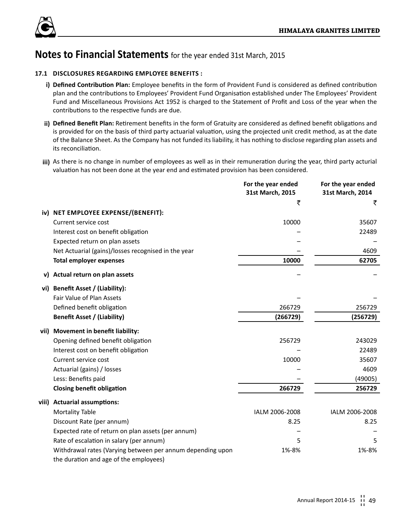

## **17.1 DISCLOSURES REGARDING EMPLOYEE BENEFITS :**

- **i) Defined Contribution Plan:** Employee benefits in the form of Provident Fund is considered as defined contribution plan and the contributions to Employees' Provident Fund Organisation established under The Employees' Provident Fund and Miscellaneous Provisions Act 1952 is charged to the Statement of Profit and Loss of the year when the contributions to the respective funds are due.
- **ii) Defined Benefit Plan:** Retirement benefits in the form of Gratuity are considered as defined benefit obligations and is provided for on the basis of third party actuarial valuation, using the projected unit credit method, as at the date of the Balance Sheet. As the Company has not funded its liability, it has nothing to disclose regarding plan assets and its reconciliation.
- **iii)** As there is no change in number of employees as well as in their remuneration during the year, third party acturial valuation has not been done at the year end and estimated provision has been considered.

|        |                                                            | For the year ended<br>31st March, 2015 | For the year ended<br>31st March, 2014 |
|--------|------------------------------------------------------------|----------------------------------------|----------------------------------------|
|        |                                                            | ₹                                      | ₹                                      |
|        | iv) NET EMPLOYEE EXPENSE/(BENEFIT):                        |                                        |                                        |
|        | Current service cost                                       | 10000                                  | 35607                                  |
|        | Interest cost on benefit obligation                        |                                        | 22489                                  |
|        | Expected return on plan assets                             |                                        |                                        |
|        | Net Actuarial (gains)/losses recognised in the year        |                                        | 4609                                   |
|        | <b>Total employer expenses</b>                             | 10000                                  | 62705                                  |
| v)     | Actual return on plan assets                               |                                        |                                        |
| vi)    | Benefit Asset / (Liability):                               |                                        |                                        |
|        | <b>Fair Value of Plan Assets</b>                           |                                        |                                        |
|        | Defined benefit obligation                                 | 266729                                 | 256729                                 |
|        | <b>Benefit Asset / (Liability)</b>                         | (266729)                               | (256729)                               |
| vii)   | Movement in benefit liability:                             |                                        |                                        |
|        | Opening defined benefit obligation                         | 256729                                 | 243029                                 |
|        | Interest cost on benefit obligation                        |                                        | 22489                                  |
|        | Current service cost                                       | 10000                                  | 35607                                  |
|        | Actuarial (gains) / losses                                 |                                        | 4609                                   |
|        | Less: Benefits paid                                        |                                        | (49005)                                |
|        | <b>Closing benefit obligation</b>                          | 266729                                 | 256729                                 |
| viii). | <b>Actuarial assumptions:</b>                              |                                        |                                        |
|        | <b>Mortality Table</b>                                     | IALM 2006-2008                         | IALM 2006-2008                         |
|        | Discount Rate (per annum)                                  | 8.25                                   | 8.25                                   |
|        | Expected rate of return on plan assets (per annum)         |                                        |                                        |
|        | Rate of escalation in salary (per annum)                   | 5                                      | 5.                                     |
|        | Withdrawal rates (Varying between per annum depending upon | 1%-8%                                  | 1%-8%                                  |
|        | the duration and age of the employees)                     |                                        |                                        |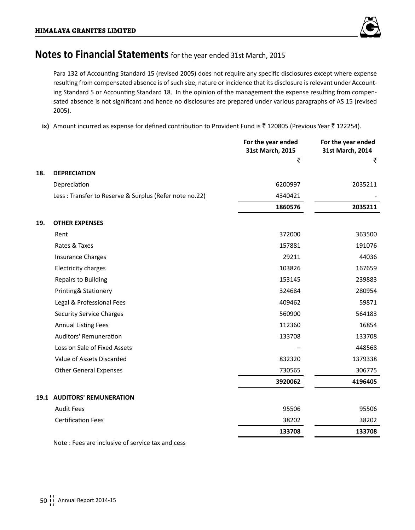

Para 132 of Accounting Standard 15 (revised 2005) does not require any specific disclosures except where expense resulting from compensated absence is of such size, nature or incidence that its disclosure is relevant under Accounting Standard 5 or Accounting Standard 18. In the opinion of the management the expense resulting from compensated absence is not significant and hence no disclosures are prepared under various paragraphs of AS 15 (revised 2005).

ix) Amount incurred as expense for defined contribution to Provident Fund is ₹ 120805 (Previous Year ₹ 122254).

|     |                                                        | For the year ended<br>31st March, 2015 | For the year ended<br>31st March, 2014 |
|-----|--------------------------------------------------------|----------------------------------------|----------------------------------------|
|     |                                                        | ₹                                      | ₹                                      |
| 18. | <b>DEPRECIATION</b>                                    |                                        |                                        |
|     | Depreciation                                           | 6200997                                | 2035211                                |
|     | Less: Transfer to Reserve & Surplus (Refer note no.22) | 4340421                                |                                        |
|     |                                                        | 1860576                                | 2035211                                |
| 19. | <b>OTHER EXPENSES</b>                                  |                                        |                                        |
|     | Rent                                                   | 372000                                 | 363500                                 |
|     | Rates & Taxes                                          | 157881                                 | 191076                                 |
|     | <b>Insurance Charges</b>                               | 29211                                  | 44036                                  |
|     | Electricity charges                                    | 103826                                 | 167659                                 |
|     | <b>Repairs to Building</b>                             | 153145                                 | 239883                                 |
|     | Printing& Stationery                                   | 324684                                 | 280954                                 |
|     | Legal & Professional Fees                              | 409462                                 | 59871                                  |
|     | <b>Security Service Charges</b>                        | 560900                                 | 564183                                 |
|     | <b>Annual Listing Fees</b>                             | 112360                                 | 16854                                  |
|     | <b>Auditors' Remuneration</b>                          | 133708                                 | 133708                                 |
|     | Loss on Sale of Fixed Assets                           |                                        | 448568                                 |
|     | Value of Assets Discarded                              | 832320                                 | 1379338                                |
|     | <b>Other General Expenses</b>                          | 730565                                 | 306775                                 |
|     |                                                        | 3920062                                | 4196405                                |
|     | <b>19.1 AUDITORS' REMUNERATION</b>                     |                                        |                                        |
|     | <b>Audit Fees</b>                                      | 95506                                  | 95506                                  |
|     | <b>Certification Fees</b>                              | 38202                                  | 38202                                  |
|     |                                                        | 133708                                 | 133708                                 |
|     |                                                        |                                        |                                        |

Note : Fees are inclusive of service tax and cess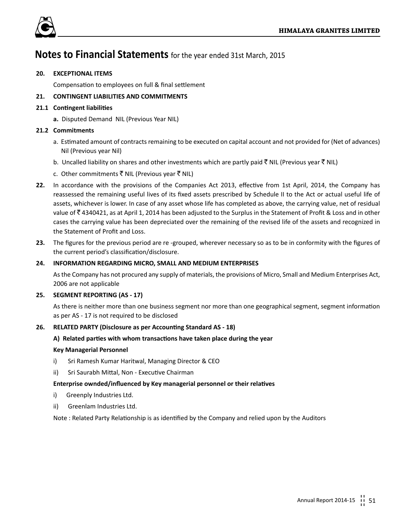

## **20. EXCEPTIONAL ITEMS**

Compensation to employees on full & final settlement

## **21. CONTINGENT LIABILITIES AND COMMITMENTS**

## **21.1 Contingent liabilities**

**a.** Disputed Demand NIL (Previous Year NIL)

## **21.2 Commitments**

- a. Estimated amount of contracts remaining to be executed on capital account and not provided for (Net of advances) Nil (Previous year Nil)
- b. Uncalled liability on shares and other investments which are partly paid  $\bar{\xi}$  NIL (Previous year  $\bar{\xi}$  NIL)
- c. Other commitments  $\bar{\tau}$  NIL (Previous year  $\bar{\tau}$  NIL)
- **22.** In accordance with the provisions of the Companies Act 2013, effective from 1st April, 2014, the Company has reassessed the remaining useful lives of its fixed assets prescribed by Schedule II to the Act or actual useful life of assets, whichever is lower. In case of any asset whose life has completed as above, the carrying value, net of residual value of ` 4340421, as at April 1, 2014 has been adjusted to the Surplus in the Statement of Profit & Loss and in other cases the carrying value has been depreciated over the remaining of the revised life of the assets and recognized in the Statement of Profit and Loss.
- **23.** The figures for the previous period are re -grouped, wherever necessary so as to be in conformity with the figures of the current period's classification/disclosure.

## **24. INFORMATION REGARDING MICRO, SMALL AND MEDIUM ENTERPRISES**

As the Company has not procured any supply of materials, the provisions of Micro, Small and Medium Enterprises Act, 2006 are not applicable

## **25. SEGMENT REPORTING (AS - 17)**

As there is neither more than one business segment nor more than one geographical segment, segment information as per AS - 17 is not required to be disclosed

## **26. RELATED PARTY (Disclosure as per Accounting Standard AS - 18)**

## **A) Related parties with whom transactions have taken place during the year**

## **Key Managerial Personnel**

- i) Sri Ramesh Kumar Haritwal, Managing Director & CEO
- ii) Sri Saurabh Mittal, Non Executive Chairman

## **Enterprise ownded/influenced by Key managerial personnel or their relatives**

- i) Greenply Industries Ltd.
- ii) Greenlam Industries Ltd.

Note : Related Party Relationship is as identified by the Company and relied upon by the Auditors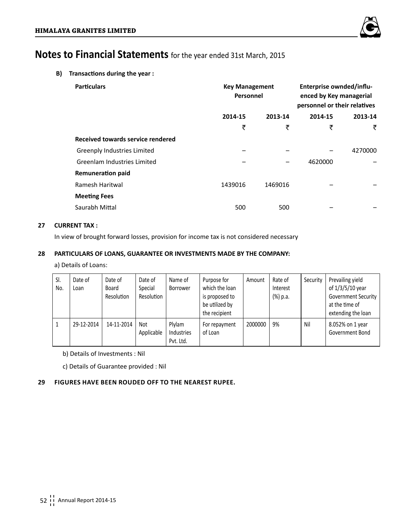

**B) Transactions during the year :**

| <b>Particulars</b>                 | <b>Key Management</b><br>Personnel |         | Enterprise ownded/influ-<br>enced by Key managerial<br>personnel or their relatives |         |
|------------------------------------|------------------------------------|---------|-------------------------------------------------------------------------------------|---------|
|                                    | 2014-15                            | 2013-14 | 2014-15                                                                             | 2013-14 |
|                                    | ₹                                  | ₹       | ₹                                                                                   | ₹       |
| Received towards service rendered  |                                    |         |                                                                                     |         |
| <b>Greenply Industries Limited</b> |                                    |         |                                                                                     | 4270000 |
| <b>Greenlam Industries Limited</b> |                                    |         | 4620000                                                                             |         |
| <b>Remuneration paid</b>           |                                    |         |                                                                                     |         |
| Ramesh Haritwal                    | 1439016                            | 1469016 |                                                                                     |         |
| <b>Meeting Fees</b>                |                                    |         |                                                                                     |         |
| Saurabh Mittal                     | 500                                | 500     |                                                                                     |         |

## **27 CURRENT TAX :**

In view of brought forward losses, provision for income tax is not considered necessary

## **28 PARTICULARS OF LOANS, GUARANTEE OR INVESTMENTS MADE BY THE COMPANY:**

a) Details of Loans:

| SI.<br>No. | Date of<br>Loan | Date of<br>Board<br>Resolution | Date of<br>Special<br>Resolution | Name of<br>Borrower               | Purpose for<br>which the loan<br>is proposed to<br>be utilized by<br>the recipient | Amount  | Rate of<br>Interest<br>(%) p.a. | Security | Prevailing yield<br>of 1/3/5/10 year<br><b>Government Security</b><br>at the time of<br>extending the loan |
|------------|-----------------|--------------------------------|----------------------------------|-----------------------------------|------------------------------------------------------------------------------------|---------|---------------------------------|----------|------------------------------------------------------------------------------------------------------------|
|            | 29-12-2014      | 14-11-2014                     | Not<br>Applicable                | Plylam<br>Industries<br>Pvt. Ltd. | For repayment<br>of Loan                                                           | 2000000 | 9%                              | Nil      | 8.052% on 1 year<br>Government Bond                                                                        |

b) Details of Investments : Nil

c) Details of Guarantee provided : Nil

## **29 Figures have been rouded off to the nearest rupee.**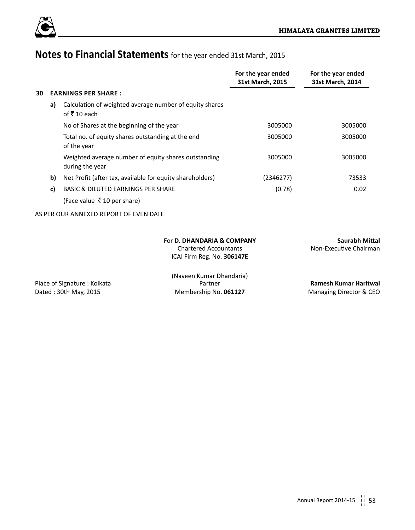

|    |                                                                                          | For the year ended<br>31st March, 2015 | For the year ended<br>31st March, 2014   |
|----|------------------------------------------------------------------------------------------|----------------------------------------|------------------------------------------|
| 30 | <b>EARNINGS PER SHARE:</b>                                                               |                                        |                                          |
| a) | Calculation of weighted average number of equity shares<br>of ₹10 each                   |                                        |                                          |
|    | No of Shares at the beginning of the year                                                | 3005000                                | 3005000                                  |
|    | Total no. of equity shares outstanding at the end<br>of the year                         | 3005000                                | 3005000                                  |
|    | Weighted average number of equity shares outstanding<br>during the year                  | 3005000                                | 3005000                                  |
| b) | Net Profit (after tax, available for equity shareholders)                                | (2346277)                              | 73533                                    |
| c) | BASIC & DILUTED EARNINGS PER SHARE                                                       | (0.78)                                 | 0.02                                     |
|    | (Face value $\bar{\bar{\mathcal{F}}}$ 10 per share)                                      |                                        |                                          |
|    | AS PER OUR ANNEXED REPORT OF EVEN DATE                                                   |                                        |                                          |
|    | For D. DHANDARIA & COMPANY<br><b>Chartered Accountants</b><br>ICAI Firm Reg. No. 306147E |                                        | Saurabh Mittal<br>Non-Executive Chairman |

(Naveen Kumar Dhandaria) Place of Signature : Kolkata Partner **Ramesh Kumar Haritwal**

Dated : 30th May, 2015 **Membership No. 061127** Managing Director & CEO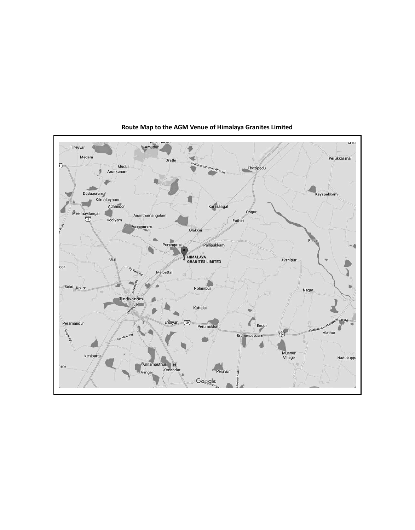

**Route Map to the AGM Venue of Himalaya Granites Limited**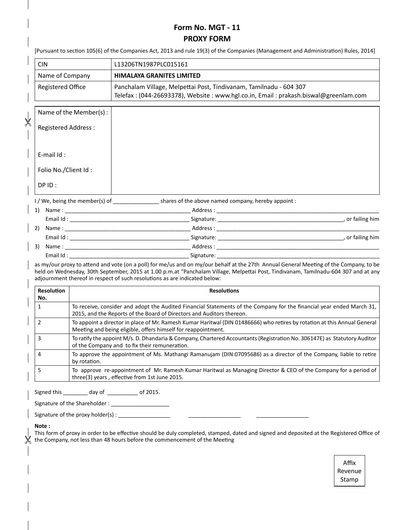## **Form No. MGT - 11 PROXY FORM**

| <b>CIN</b>                                                                                                                                                                     |                        | L13206TN1987PLC015161                                                                                          |                                                                                                                                                                                                                                                                               |  |  |
|--------------------------------------------------------------------------------------------------------------------------------------------------------------------------------|------------------------|----------------------------------------------------------------------------------------------------------------|-------------------------------------------------------------------------------------------------------------------------------------------------------------------------------------------------------------------------------------------------------------------------------|--|--|
| Name of Company                                                                                                                                                                |                        | <b>HIMALAYA GRANITES LIMITED</b>                                                                               |                                                                                                                                                                                                                                                                               |  |  |
| <b>Registered Office</b>                                                                                                                                                       |                        |                                                                                                                | Panchalam Village, Melpettai Post, Tindivanam, Tamilnadu - 604 307<br>Telefax: (044-26693378), Website: www.hgl.co.in, Email: prakash.biswal@greenlam.com                                                                                                                     |  |  |
|                                                                                                                                                                                | Name of the Member(s): |                                                                                                                |                                                                                                                                                                                                                                                                               |  |  |
| <b>Registered Address:</b>                                                                                                                                                     |                        |                                                                                                                |                                                                                                                                                                                                                                                                               |  |  |
| E-mail $Id$ :                                                                                                                                                                  |                        |                                                                                                                |                                                                                                                                                                                                                                                                               |  |  |
| Folio No./Client Id:                                                                                                                                                           |                        |                                                                                                                |                                                                                                                                                                                                                                                                               |  |  |
| DP ID:                                                                                                                                                                         |                        |                                                                                                                |                                                                                                                                                                                                                                                                               |  |  |
|                                                                                                                                                                                |                        |                                                                                                                | I / We, being the member(s) of _____________________shares of the above named company, hereby appoint :                                                                                                                                                                       |  |  |
|                                                                                                                                                                                |                        |                                                                                                                |                                                                                                                                                                                                                                                                               |  |  |
|                                                                                                                                                                                |                        |                                                                                                                |                                                                                                                                                                                                                                                                               |  |  |
|                                                                                                                                                                                |                        |                                                                                                                |                                                                                                                                                                                                                                                                               |  |  |
| 3)                                                                                                                                                                             |                        |                                                                                                                | Name: Address: Address:                                                                                                                                                                                                                                                       |  |  |
|                                                                                                                                                                                |                        |                                                                                                                | Email Id: Signature: Signature: Signature: Signature: Signature: Signature: Signature: Signature: Signature: Signature: Signature: Signature: Signature: Signature: Signature: Signature: Signature: Signature: Signature: Sig                                                |  |  |
|                                                                                                                                                                                |                        | adjournment thereof in respect of such resolutions as are indicated below:                                     | as my/our proxy to attend and vote (on a poll) for me/us and on my/our behalf at the 27th Annual General Meeting of the Company, to be<br>held on Wednesday, 30th September, 2015 at 1.00 p.m.at "Panchalam Village, Melpettai Post, Tindivanam, Tamilnadu-604 307 and at any |  |  |
| <b>Resolution</b><br>No.                                                                                                                                                       |                        |                                                                                                                | <b>Resolutions</b>                                                                                                                                                                                                                                                            |  |  |
| $\mathbf{1}$                                                                                                                                                                   |                        |                                                                                                                | To receive, consider and adopt the Audited Financial Statements of the Company for the financial year ended March 31,<br>2015, and the Reports of the Board of Directors and Auditors thereon.                                                                                |  |  |
| $\overline{2}$                                                                                                                                                                 |                        | Meeting and being eligible, offers himself for reappointment.                                                  | To appoint a director in place of Mr. Ramesh Kumar Haritwal (DIN 01486666) who retires by rotation at this Annual General                                                                                                                                                     |  |  |
| To ratify the appoint M/s. D. Dhandaria & Company, Chartered Accountants (Registration No. 306147E) as Statutory Auditor<br>3<br>of the Company and to fix their remuneration. |                        |                                                                                                                |                                                                                                                                                                                                                                                                               |  |  |
| To approve the appointment of Ms. Mathangi Ramanujam (DIN:07095686) as a director of the Company, liable to retire<br>4<br>by rotation.                                        |                        |                                                                                                                |                                                                                                                                                                                                                                                                               |  |  |
| 5                                                                                                                                                                              |                        | three(3) years, effective from 1st June 2015.                                                                  | To approve re-appointment of Mr. Ramesh Kumar Haritwal as Managing Director & CEO of the Company for a period of                                                                                                                                                              |  |  |
|                                                                                                                                                                                |                        | Signed this _________ day of _________ of 2015.                                                                |                                                                                                                                                                                                                                                                               |  |  |
|                                                                                                                                                                                |                        | Signature of the Shareholder : Manual Manual Manual Manual Manual Manual Manual Manual Manual Manual Manual Ma |                                                                                                                                                                                                                                                                               |  |  |
|                                                                                                                                                                                |                        |                                                                                                                |                                                                                                                                                                                                                                                                               |  |  |

 $\chi$  the Company, not less than 48 hours before the commencement of the Meeting

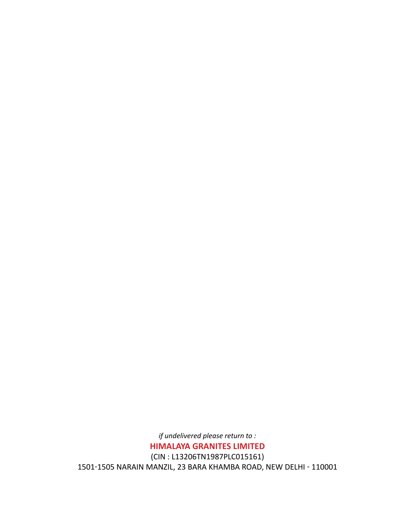*if undelivered please return to :* **HIMALAYA GRANITES LIMITED** (CIN : L13206TN1987PLC015161) 1501-1505 NARAIN MANZIL, 23 BARA KHAMBA ROAD, NEW DELHI - 110001